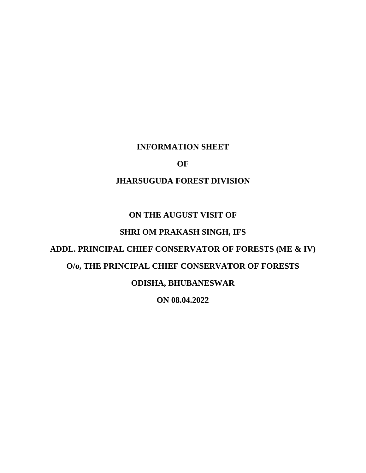## **INFORMATION SHEET**

### **OF**

## **JHARSUGUDA FOREST DIVISION**

## **ON THE AUGUST VISIT OF**

## **SHRI OM PRAKASH SINGH, IFS**

# **ADDL. PRINCIPAL CHIEF CONSERVATOR OF FORESTS (ME & IV)**

## **O/o, THE PRINCIPAL CHIEF CONSERVATOR OF FORESTS**

### **ODISHA, BHUBANESWAR**

**ON 08.04.2022**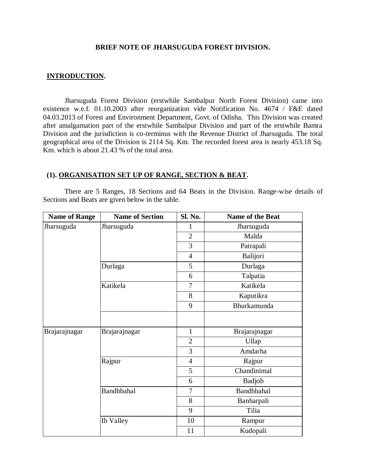#### **BRIEF NOTE OF JHARSUGUDA FOREST DIVISION.**

#### **INTRODUCTION.**

Jharsuguda Forest Division (erstwhile Sambalpur North Forest Division) came into existence w.e.f. 01.10.2003 after reorganization vide Notification No. 4674 / F&E dated 04.03.2013 of Forest and Environment Department, Govt. of Odisha. This Division was created after amalgamation part of the erstwhile Sambalpur Division and part of the erstwhile Bamra Division and the jurisdiction is co-terminus with the Revenue District of Jharsuguda. The total geographical area of the Division is 2114 Sq. Km. The recorded forest area is nearly 453.18 Sq. Km. which is about 21.43 % of the total area.

#### **(1). ORGANISATION SET UP OF RANGE, SECTION & BEAT.**

There are 5 Ranges, 18 Sections and 64 Beats in the Division. Range-wise details of Sections and Beats are given below in the table.

| <b>Name of Range</b> | <b>Name of Section</b> | Sl. No.        | Name of the Beat  |
|----------------------|------------------------|----------------|-------------------|
| Jharsuguda           | Jharsuguda             | $\mathbf{1}$   | Jharsuguda        |
|                      |                        | $\overline{2}$ | Malda             |
|                      |                        | 3              | Patrapali         |
|                      |                        | $\overline{4}$ | Balijori          |
|                      | Durlaga                | 5              | Durlaga           |
|                      |                        | 6              | Talpatia          |
|                      | Katikela               | 7              | Katikela          |
|                      |                        | 8              | Kaputikra         |
|                      |                        | 9              | Bhurkamunda       |
|                      |                        |                |                   |
| Brajarajnagar        | Brajarajnagar          | $\mathbf{1}$   | Brajarajnagar     |
|                      |                        | $\overline{2}$ | Ullap             |
|                      |                        | 3              | Amdarha           |
|                      | Rajpur                 | $\overline{4}$ | Rajpur            |
|                      |                        | 5              | Chandinimal       |
|                      |                        | 6              | <b>Badjob</b>     |
|                      | Bandhbahal             | 7              | <b>Bandhbahal</b> |
|                      |                        | 8              | Banharpali        |
|                      |                        | 9              | Tilia             |
|                      | <b>Ib Valley</b>       | 10             | Rampur            |
|                      |                        | 11             | Kudopali          |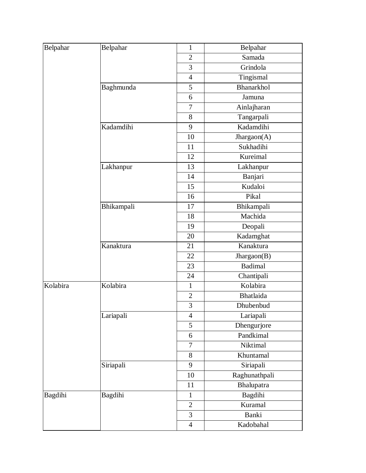| Belpahar | Belpahar   | $\mathbf{1}$   | Belpahar         |
|----------|------------|----------------|------------------|
|          |            | $\overline{2}$ | Samada           |
|          |            | 3              | Grindola         |
|          |            |                |                  |
|          |            | $\overline{4}$ | Tingismal        |
|          | Baghmunda  | 5              | Bhanarkhol       |
|          |            | 6              | Jamuna           |
|          |            | 7              | Ainlajharan      |
|          |            | 8              | Tangarpali       |
|          | Kadamdihi  | 9              | Kadamdihi        |
|          |            | 10             | Jhargaon(A)      |
|          |            | 11             | Sukhadihi        |
|          |            | 12             | Kureimal         |
|          | Lakhanpur  | 13             | Lakhanpur        |
|          |            | 14             | Banjari          |
|          |            | 15             | Kudaloi          |
|          |            | 16             | Pikal            |
|          | Bhikampali | 17             | Bhikampali       |
|          |            | 18             | Machida          |
|          |            | 19             | Deopali          |
|          |            | 20             | Kadamghat        |
|          | Kanaktura  | 21             | Kanaktura        |
|          |            | 22             | Jhargaon(B)      |
|          |            | 23             | <b>Badimal</b>   |
|          |            | 24             | Chantipali       |
| Kolabira | Kolabira   | $\mathbf{1}$   | Kolabira         |
|          |            | $\overline{2}$ | <b>Bhatlaida</b> |
|          |            | 3              | Dhubenbud        |
|          | Lariapali  | $\overline{4}$ | Lariapali        |
|          |            | 5              | Dhengurjore      |
|          |            | 6              | Pandkimal        |
|          |            | $\tau$         | Niktimal         |
|          |            | 8              | Khuntamal        |
|          | Siriapali  | 9              | Siriapali        |
|          |            | 10             | Raghunathpali    |
|          |            | 11             | Bhalupatra       |
| Bagdihi  | Bagdihi    | $\mathbf{1}$   | Bagdihi          |
|          |            | $\overline{2}$ | Kuramal          |
|          |            | 3              | Banki            |
|          |            |                |                  |
|          |            | $\overline{4}$ | Kadobahal        |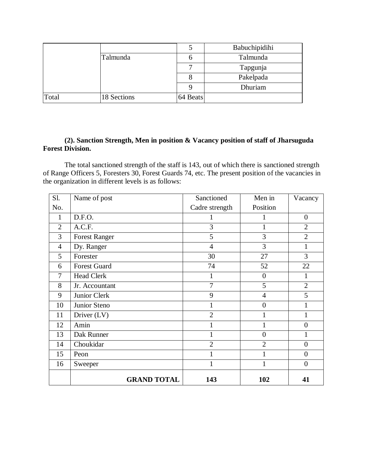|       |             |          | Babuchipidihi |
|-------|-------------|----------|---------------|
|       | Talmunda    | n        | Talmunda      |
|       |             |          | Tapgunja      |
|       |             |          | Pakelpada     |
|       |             |          | Dhuriam       |
| Total | 18 Sections | 64 Beats |               |

### **(2). Sanction Strength, Men in position & Vacancy position of staff of Jharsuguda Forest Division.**

The total sanctioned strength of the staff is 143, out of which there is sanctioned strength of Range Officers 5, Foresters 30, Forest Guards 74, etc. The present position of the vacancies in the organization in different levels is as follows:

| Sl.            | Name of post         | Sanctioned     | Men in           | Vacancy          |
|----------------|----------------------|----------------|------------------|------------------|
| No.            |                      | Cadre strength | Position         |                  |
| 1              | D.F.O.               | 1              |                  | $\boldsymbol{0}$ |
| $\overline{2}$ | A.C.F.               | 3              | $\mathbf{1}$     | $\overline{2}$   |
| 3              | <b>Forest Ranger</b> | 5              | 3                | $\overline{2}$   |
| $\overline{4}$ | Dy. Ranger           | $\overline{4}$ | 3                | 1                |
| 5              | Forester             | 30             | 27               | 3                |
| 6              | <b>Forest Guard</b>  | 74             | 52               | 22               |
| 7              | <b>Head Clerk</b>    | $\mathbf{1}$   | $\overline{0}$   | $\mathbf{1}$     |
| 8              | Jr. Accountant       | $\overline{7}$ | 5                | $\overline{2}$   |
| 9              | Junior Clerk         | 9              | $\overline{4}$   | 5                |
| 10             | Junior Steno         | $\mathbf{1}$   | $\boldsymbol{0}$ | 1                |
| 11             | Driver $(LV)$        | $\overline{2}$ |                  | 1                |
| 12             | Amin                 | 1              | 1                | $\overline{0}$   |
| 13             | Dak Runner           | $\mathbf{1}$   | $\overline{0}$   | 1                |
| 14             | Choukidar            | $\overline{2}$ | $\overline{2}$   | $\overline{0}$   |
| 15             | Peon                 | 1              | 1                | $\overline{0}$   |
| 16             | Sweeper              | $\mathbf{1}$   | 1                | $\overline{0}$   |
|                | <b>GRAND TOTAL</b>   | 143            | 102              | 41               |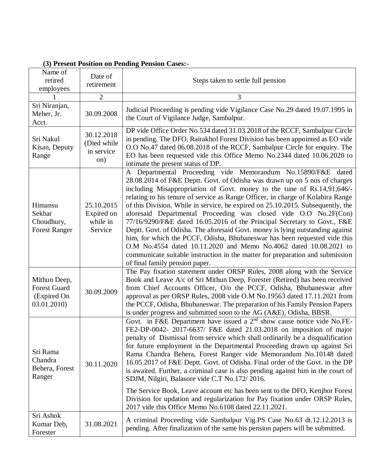| Name of<br>retired<br>employees                                   | Date of<br>retirement                           | Steps taken to settle full pension                                                                                                                                                                                                                                                                                                                                                                                                                                                                                                                                                                                                                                                                                                                                                                                                                                                                |
|-------------------------------------------------------------------|-------------------------------------------------|---------------------------------------------------------------------------------------------------------------------------------------------------------------------------------------------------------------------------------------------------------------------------------------------------------------------------------------------------------------------------------------------------------------------------------------------------------------------------------------------------------------------------------------------------------------------------------------------------------------------------------------------------------------------------------------------------------------------------------------------------------------------------------------------------------------------------------------------------------------------------------------------------|
|                                                                   | 2                                               | 3                                                                                                                                                                                                                                                                                                                                                                                                                                                                                                                                                                                                                                                                                                                                                                                                                                                                                                 |
| Sri Niranjan,<br>Meher, Jr.<br>Acct.                              | 30.09.2008                                      | Judicial Proceeding is pending vide Vigilance Case No.29 dated 19.07.1995 in<br>the Court of Vigilance Judge, Sambalpur.                                                                                                                                                                                                                                                                                                                                                                                                                                                                                                                                                                                                                                                                                                                                                                          |
| Sri Nakul<br>Kisan, Deputy<br>Range                               | 30.12.2018<br>(Died while<br>in service<br>on)  | DP vide Office Order No.534 dated 31.03.2018 of the RCCF, Sambalpur Circle<br>in pending. The DFO, Rairakhol Forest Division has been appointed as EO vide<br>O.O No.47 dated 06.08.2018 of the RCCF, Sambalpur Circle for enquiry. The<br>EO has been requested vide this Office Memo No.2344 dated 10.06.2020 to<br>intimate the present status of DP.                                                                                                                                                                                                                                                                                                                                                                                                                                                                                                                                          |
| Himansu<br>Sekhar<br>Choudhury,<br><b>Forest Ranger</b>           | 25.10.2015<br>Expired on<br>while in<br>Service | A Departmental Proceeding vide Memorandum No.15890/F&E dated<br>28.08.2014 of F&E Deptt. Govt. of Odisha was drawn up on 5 nos of charges<br>including Misappropriation of Govt. money to the tune of Rs.14,91,646/-<br>relating to his tenure of service as Range Officer, in charge of Kolabira Range<br>of this Division. While in service, he expired on 25.10.2015. Subsequently, the<br>aforesaid Departmental Proceeding was closed vide O.O No.2F(Con)<br>77/16/9290/F&E dated 16.05.2016 of the Principal Secretary to Govt., F&E<br>Deptt. Govt. of Odisha. The aforesaid Govt. money is lying outstanding against<br>him, for which the PCCF, Odisha, Bhubaneswar has been requested vide this<br>O.M No.4554 dated 10.11.2020 and Memo No.4062 dated 10.08.2021 to<br>communicate suitable instruction in the matter for preparation and submission<br>of final family pension paper. |
| Mithun Deep,<br><b>Forest Guard</b><br>(Expired On<br>03.01.2010) | 30.09.2009                                      | The Pay fixation statement under ORSP Rules, 2008 along with the Service<br>Book and Leave A/c of Sri Mithun Deep, Forester (Retired) has been received<br>from Chief Accounts Officer, O/o the PCCF, Odisha, Bhubaneswar after<br>approval as per ORSP Rules, 2008 vide O.M No.19563 dated 17.11.2021 from<br>the PCCF, Odisha, Bhubaneswar. The preparation of his Family Pension Papers<br>is under progress and submitted soon to the AG (A&E), Odisha, BBSR.                                                                                                                                                                                                                                                                                                                                                                                                                                 |
| Sri Rama<br>Chandra<br>Behera, Forest<br>Ranger                   | 30.11.2020                                      | Govt. in F&E Department have issued a 2 <sup>nd</sup> show cause notice vide No.FE-<br>FE2-DP-0042- 2017-6637/ F&E dated 21.03.2018 on imposition of major<br>penalty of Dismissal from service which shall ordinarily be a disqualification<br>for future employment in the Departmental Proceeding drawn up against Sri<br>Rama Chandra Behera, Forest Ranger vide Memorandum No.10148 dated<br>16.05.2017 of F&E Deptt. Govt. of Odisha. Final order of the Govt. in the DP<br>is awaited. Further, a criminal case is also pending against him in the court of<br>SDJM, Nilgiri, Balasore vide C.T No.172/2016.<br>The Service Book, Leave account etc has been sent to the DFO, Kenjhor Forest<br>Division for updation and regularization for Pay fixation under ORSP Rules,<br>2017 vide this Office Memo No.6108 dated 22.11.2021.                                                        |
| Sri Ashok<br>Kumar Deb,<br>Forester                               | 31.08.2021                                      | A criminal Proceeding vide Sambalpur Vig.PS Case No.63 dt.12.12.2013 is<br>pending. After finalization of the same his pension papers will be submitted.                                                                                                                                                                                                                                                                                                                                                                                                                                                                                                                                                                                                                                                                                                                                          |

**(3) Present Position on Pending Pension Cases:-**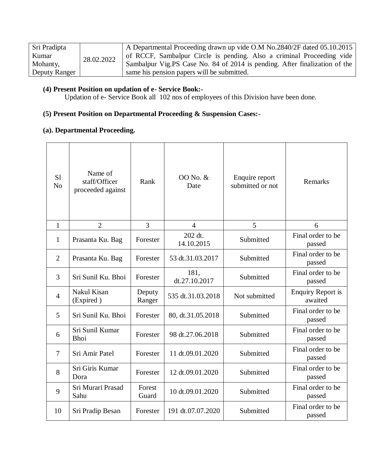| Sri Pradipta  |            | A Departmental Proceeding drawn up vide $O.M$ No.2840/2F dated 05.10.2015  |
|---------------|------------|----------------------------------------------------------------------------|
| Kumar         | 28.02.2022 | of RCCF, Sambalpur Circle is pending. Also a criminal Proceeding vide      |
| Mohanty,      |            | Sambalpur Vig.PS Case No. 84 of 2014 is pending. After finalization of the |
| Deputy Ranger |            | same his pension papers will be submitted.                                 |

### **(4) Present Position on updation of e- Service Book:-**

Updation of e- Service Book all 102 nos of employees of this Division have been done.

## **(5) Present Position on Departmental Proceeding & Suspension Cases:-**

## **(a). Departmental Proceeding.**

| S <sub>1</sub><br>N <sub>0</sub> | Name of<br>staff/Officer<br>proceeded against | Rank             | 00 No. &<br>Date      | Enquire report<br>submitted or not | Remarks                             |
|----------------------------------|-----------------------------------------------|------------------|-----------------------|------------------------------------|-------------------------------------|
| $\mathbf{1}$                     | $\overline{2}$                                | 3                | $\overline{4}$        | 5                                  | 6                                   |
| 1                                | Prasanta Ku. Bag                              | Forester         | 202 dt.<br>14.10.2015 | Submitted                          | Final order to be<br>passed         |
| $\overline{2}$                   | Prasanta Ku. Bag                              | Forester         | 53 dt.31.03.2017      | Submitted                          | Final order to be<br>passed         |
| 3                                | Sri Sunil Ku. Bhoi                            | Forester         | 181,<br>dt.27.10.2017 | Submitted                          | Final order to be<br>passed         |
| $\overline{4}$                   | Nakul Kisan<br>(Expired)                      | Deputy<br>Ranger | 535 dt.31.03.2018     | Not submitted                      | <b>Enquiry Report is</b><br>awaited |
| 5                                | Sri Sunil Ku. Bhoi                            | Forester         | 80, dt.31.05.2018     | Submitted                          | Final order to be<br>passed         |
| 6                                | Sri Sunil Kumar<br>Bhoi                       | Forester         | 98 dt.27.06.2018      | Submitted                          | Final order to be<br>passed         |
| $\overline{7}$                   | Sri Amir Patel                                | Forester         | 11 dt.09.01.2020      | Submitted                          | Final order to be<br>passed         |
| 8                                | Sri Giris Kumar<br>Dora                       | Forester         | 12 dt.09.01.2020      | Submitted                          | Final order to be<br>passed         |
| 9                                | Sri Murari Prasad<br>Sahu                     | Forest<br>Guard  | 10 dt.09.01.2020      | Submitted                          | Final order to be<br>passed         |
| 10                               | Sri Pradip Besan                              | Forester         | 191 dt.07.07.2020     | Submitted                          | Final order to be<br>passed         |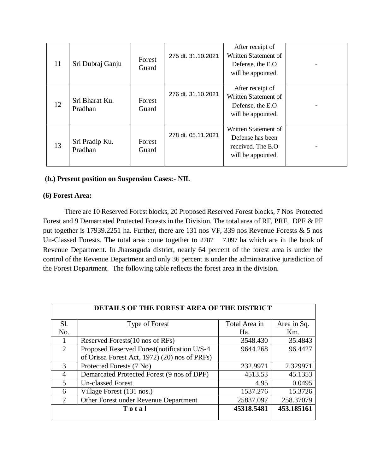| 11 | Sri Dubraj Ganju          | Forest<br>Guard | 275 dt. 31.10.2021 | After receipt of<br>Written Statement of<br>Defense, the E.O.<br>will be appointed.  |  |
|----|---------------------------|-----------------|--------------------|--------------------------------------------------------------------------------------|--|
| 12 | Sri Bharat Ku.<br>Pradhan | Forest<br>Guard | 276 dt. 31.10.2021 | After receipt of<br>Written Statement of<br>Defense, the E.O.<br>will be appointed.  |  |
| 13 | Sri Pradip Ku.<br>Pradhan | Forest<br>Guard | 278 dt. 05.11.2021 | Written Statement of<br>Defense has been<br>received. The E.O.<br>will be appointed. |  |

### **(b.) Present position on Suspension Cases:- NIL**

### **(6) Forest Area:**

There are 10 Reserved Forest blocks, 20 Proposed Reserved Forest blocks, 7 Nos Protected Forest and 9 Demarcated Protected Forests in the Division. The total area of RF, PRF, DPF & PF put together is 17939.2251 ha. Further, there are 131 nos VF, 339 nos Revenue Forests & 5 nos Un-Classed Forests. The total area come together to 2787 7.097 ha which are in the book of Revenue Department. In Jharsuguda district, nearly 64 percent of the forest area is under the control of the Revenue Department and only 36 percent is under the administrative jurisdiction of the Forest Department. The following table reflects the forest area in the division.

|                             | <b>DETAILS OF THE FOREST AREA OF THE DISTRICT</b> |               |             |  |  |  |  |
|-----------------------------|---------------------------------------------------|---------------|-------------|--|--|--|--|
| Sl.                         | Type of Forest                                    | Total Area in | Area in Sq. |  |  |  |  |
| No.                         |                                                   | Ha.           | Km.         |  |  |  |  |
|                             | Reserved Forests (10 nos of RFs)                  | 3548.430      | 35.4843     |  |  |  |  |
| $\mathcal{D}_{\mathcal{L}}$ | Proposed Reserved Forest (notification U/S-4      | 9644.268      | 96.4427     |  |  |  |  |
|                             | of Orissa Forest Act, 1972) (20) nos of PRFs)     |               |             |  |  |  |  |
| $\mathcal{R}$               | Protected Forests (7 No)                          | 232.9971      | 2.329971    |  |  |  |  |
| 4                           | Demarcated Protected Forest (9 nos of DPF)        | 4513.53       | 45.1353     |  |  |  |  |
| $\overline{\phantom{0}}$    | <b>Un-classed Forest</b>                          | 4.95          | 0.0495      |  |  |  |  |
| 6                           | Village Forest (131 nos.)                         | 1537.276      | 15.3726     |  |  |  |  |
| 7                           | Other Forest under Revenue Department             | 25837.097     | 258.37079   |  |  |  |  |
|                             | Total                                             | 45318.5481    | 453.185161  |  |  |  |  |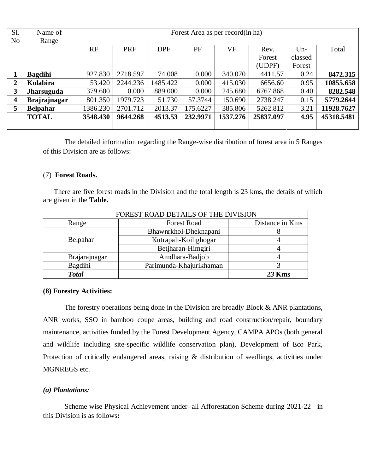| S1.                     | Name of             |          | Forest Area as per record(in ha) |            |          |           |           |         |            |
|-------------------------|---------------------|----------|----------------------------------|------------|----------|-----------|-----------|---------|------------|
| N <sub>o</sub>          | Range               |          |                                  |            |          |           |           |         |            |
|                         |                     | RF       | <b>PRF</b>                       | <b>DPF</b> | PF       | <b>VF</b> | Rev.      | $Un-$   | Total      |
|                         |                     |          |                                  |            |          |           | Forest    | classed |            |
|                         |                     |          |                                  |            |          |           | (UDPF)    | Forest  |            |
|                         | <b>Bagdihi</b>      | 927.830  | 2718.597                         | 74.008     | 0.000    | 340.070   | 4411.57   | 0.24    | 8472.315   |
| 2                       | Kolabira            | 53.420   | 2244.236                         | 1485.422   | 0.000    | 415.030   | 6656.60   | 0.95    | 10855.658  |
| 3                       | <b>Jharsuguda</b>   | 379.600  | 0.000                            | 889.000    | 0.000    | 245.680   | 6767.868  | 0.40    | 8282.548   |
| $\overline{\mathbf{4}}$ | <b>Brajrajnagar</b> | 801.350  | 1979.723                         | 51.730     | 57.3744  | 150.690   | 2738.247  | 0.15    | 5779.2644  |
| 5                       | <b>Belpahar</b>     | 1386.230 | 2701.712                         | 2013.37    | 175.6227 | 385.806   | 5262.812  | 3.21    | 11928.7627 |
|                         | <b>TOTAL</b>        | 3548.430 | 9644.268                         | 4513.53    | 232.9971 | 1537.276  | 25837.097 | 4.95    | 45318.5481 |
|                         |                     |          |                                  |            |          |           |           |         |            |

The detailed information regarding the Range-wise distribution of forest area in 5 Ranges of this Division are as follows:

#### (7) **Forest Roads.**

There are five forest roads in the Division and the total length is 23 kms, the details of which are given in the **Table.**

| FOREST ROAD DETAILS OF THE DIVISION |                         |        |  |  |
|-------------------------------------|-------------------------|--------|--|--|
| Range                               | Distance in Kms         |        |  |  |
|                                     | Bhawnrkhol-Dheknapani   |        |  |  |
| Belpahar                            | Kutrapali-Koilighogar   |        |  |  |
|                                     | Betjharan-Himgiri       |        |  |  |
| Brajarajnagar                       | Amdhara-Badjob          |        |  |  |
| Bagdihi                             | Parimunda-Khajurikhaman |        |  |  |
| <b>Total</b>                        |                         | 23 Kms |  |  |

#### **(8) Forestry Activities:**

The forestry operations being done in the Division are broadly Block & ANR plantations, ANR works, SSO in bamboo coupe areas, building and road construction/repair, boundary maintenance, activities funded by the Forest Development Agency, CAMPA APOs (both general and wildlife including site-specific wildlife conservation plan), Development of Eco Park, Protection of critically endangered areas, raising & distribution of seedlings, activities under MGNREGS etc.

#### *(a) Plantations:*

Scheme wise Physical Achievement under all Afforestation Scheme during 2021-22 in this Division is as follows**:**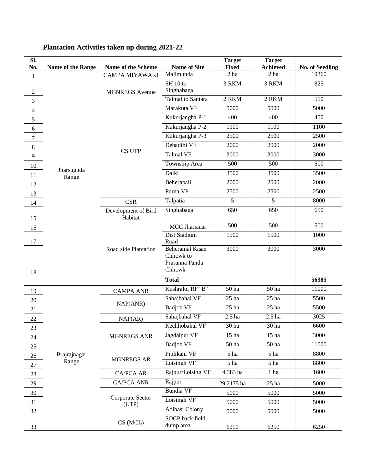| SI.<br>No.     | Name of the Range   | Name of the Scheme             | <b>Name of Site</b>                                             | <b>Target</b><br><b>Fixed</b> | <b>Target</b><br><b>Achieved</b> | No. of Seedling  |
|----------------|---------------------|--------------------------------|-----------------------------------------------------------------|-------------------------------|----------------------------------|------------------|
| $\mathbf{1}$   |                     | <b>CAMPA MIYAWAKI</b>          | Malimunda                                                       | 2 <sub>ha</sub>               | 2 <sub>ha</sub>                  | 19360            |
|                |                     |                                | $SH$ 10 to                                                      | 3 RKM                         | 3 RKM                            | 825              |
| $\overline{2}$ |                     | <b>MGNREGS</b> Avenue          | Singhabaga                                                      |                               |                                  |                  |
| 3              |                     |                                | Talmal to Santara                                               | 2 RKM                         | 2 RKM                            | 550              |
| $\overline{4}$ |                     |                                | Marakuta VF                                                     | 5000                          | 5000                             | 5000             |
| 5              |                     |                                | Kukurjangha P-1                                                 | 400                           | 400                              | 400              |
| 6              |                     |                                | Kukurjangha P-2                                                 | 1100                          | 1100                             | 1100             |
| $\overline{7}$ |                     |                                | Kukurjangha P-3                                                 | 2500                          | 2500                             | 2500             |
| 8              |                     | CS UTP                         | Debadihi VF                                                     | 2000                          | 2000                             | 2000             |
| 9              |                     |                                | <b>Talmal VF</b>                                                | 3000                          | 3000                             | 3000             |
| 10             |                     |                                | Township Area                                                   | 500                           | 500                              | 500              |
| 11             | Jharsuguda<br>Range |                                | Dalki                                                           | 3500                          | 3500                             | 3500             |
| 12             |                     |                                | Beherapali                                                      | 2000                          | 2000                             | 2000             |
| 13             |                     |                                | Purna VF                                                        | 2500                          | 2500                             | 2500             |
| 14             |                     | <b>CSR</b>                     | Talpatia                                                        | $\overline{5}$                | $\overline{5}$                   | 8000             |
|                |                     | Development of Bird<br>Habitat | Singhabaga                                                      | 650                           | 650                              | 650              |
| 15             |                     | Road side Plantation           | <b>MCC</b> Jharianar                                            | $\overline{500}$              | 500                              | $\overline{500}$ |
| 16             |                     |                                | Dist Stadium                                                    | 1500                          | 1500                             | 1000             |
| 17             |                     |                                | Road                                                            |                               |                                  |                  |
| 18             |                     |                                | <b>Beheramal Kisan</b><br>Chhowk to<br>Prasanna Panda<br>Chhowk | 3000                          | 3000                             | 3000             |
|                |                     |                                | <b>Total</b>                                                    |                               |                                  | 56385            |
| 19             |                     | <b>CAMPA ANR</b>               | Kushraloi RF "B"                                                | 50 ha                         | $\overline{50}$ ha               | 11000            |
| 20             |                     |                                | Sahajbahal VF                                                   | 25 <sub>ha</sub>              | $25$ ha                          | 5500             |
| 21             |                     | NAP(ANR)                       | <b>Badjob VF</b>                                                | 25 <sub>ha</sub>              | 25 <sub>ha</sub>                 | 5500             |
| 22             |                     | NAP(AR)                        | Sahajbahal VF                                                   | 2.5 <sub>ha</sub>             | 2.5 <sub>ha</sub>                | 3025             |
| 23             |                     |                                | Kechhobahal VF                                                  | 30 ha                         | 30 ha                            | 6600             |
| 24             |                     | <b>MGNREGS ANR</b>             | Jagdalpur VF                                                    | 15 <sub>ha</sub>              | 15 <sub>ha</sub>                 | 3000             |
| 25             |                     |                                | <b>Badjob VF</b>                                                | 50 ha                         | 50 ha                            | 11000            |
| 26             | Brajrajnagar        |                                | Piplikani VF                                                    | 5 ha                          | 5 ha                             | 8800             |
| 27             | Range               | <b>MGNREGS AR</b>              | Loisingh VF                                                     | 5 ha                          | 5 ha                             | 8800             |
| 28             |                     | <b>CA/PCA AR</b>               | Rajpur/Loising VF                                               | 4.383 ha                      | 1 ha                             | 1600             |
| 29             |                     | <b>CA/PCA ANR</b>              | Rajpur                                                          | 29.2175 ha                    | $25$ ha                          | 5000             |
| 30             |                     |                                | <b>Bundia VF</b>                                                | 5000                          | 5000                             | 5000             |
| 31             |                     | Corporate Sector               | Loisingh VF                                                     | 5000                          | 5000                             | 5000             |
| 32             |                     | (UTP)                          | Adibasi Colony                                                  | 5000                          | 5000                             | 5000             |
| 33             |                     | CS (MCL)                       | SOCP back field<br>dump area                                    | 6250                          | 6250                             | 6250             |

# **Plantation Activities taken up during 2021-22**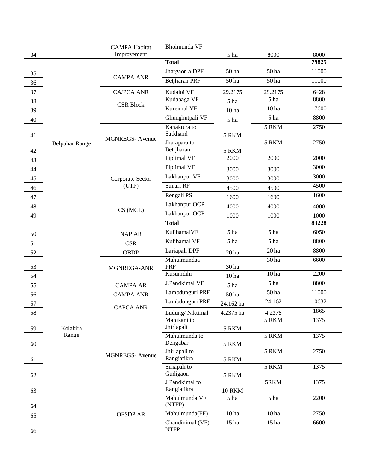|    |                | <b>CAMPA Habitat</b>  | Bhoimunda VF                  |                           |                           |       |
|----|----------------|-----------------------|-------------------------------|---------------------------|---------------------------|-------|
| 34 |                | Improvement           |                               | 5 ha                      | 8000                      | 8000  |
|    |                |                       | <b>Total</b>                  |                           |                           | 79825 |
| 35 |                | <b>CAMPA ANR</b>      | Jhargaon a DPF                | 50 ha                     | 50 ha                     | 11000 |
| 36 |                |                       | Betjharan PRF                 | 50 <sub>ha</sub>          | 50 <sub>ha</sub>          | 11000 |
| 37 |                | <b>CA/PCA ANR</b>     | Kudaloi VF                    | 29.2175                   | 29.2175                   | 6428  |
| 38 |                | <b>CSR Block</b>      | Kudabaga VF                   | 5 ha                      | 5 ha                      | 8800  |
| 39 |                |                       | <b>Kureimal VF</b>            | 10 <sub>ha</sub>          | 10 <sub>ha</sub>          | 17600 |
| 40 |                |                       | Ghunghutpali VF               | 5 ha                      | 5 ha                      | 8800  |
| 41 |                | <b>MGNREGS-Avenue</b> | Kanaktura to<br>Satkhand      | 5 RKM                     | 5 RKM                     | 2750  |
| 42 | Belpahar Range |                       | Jharapara to<br>Betijharan    | 5 RKM                     | 5 RKM                     | 2750  |
| 43 |                |                       | Piplimal VF                   | 2000                      | 2000                      | 2000  |
| 44 |                |                       | Piplimal VF                   | 3000                      | 3000                      | 3000  |
| 45 |                | Corporate Sector      | Lakhanpur VF                  | 3000                      | 3000                      | 3000  |
| 46 |                | (UTP)                 | Sunari RF                     | 4500                      | 4500                      | 4500  |
| 47 |                |                       | Rengali PS                    | 1600                      | 1600                      | 1600  |
| 48 |                | CS(MCL)               | Lakhanpur OCP                 | 4000                      | 4000                      | 4000  |
| 49 |                |                       | Lakhanpur OCP                 | 1000                      | 1000                      | 1000  |
|    |                |                       | <b>Total</b>                  |                           |                           | 83228 |
| 50 |                | <b>NAP AR</b>         | KulihamalVF                   | $\overline{5 \text{ ha}}$ | 5 ha                      | 6050  |
| 51 |                | <b>CSR</b>            | Kulihamal VF                  | 5 ha                      | $\overline{5 \text{ ha}}$ | 8800  |
| 52 |                | <b>OBDP</b>           | Lariapali DPF                 | 20 <sub>ha</sub>          | 20 <sub>ha</sub>          | 8800  |
| 53 |                | MGNREGA-ANR           | Mahulmundaa<br>PRF            | 30 ha                     | 30 ha                     | 6600  |
| 54 |                |                       | Kusumdihi                     | 10 <sub>ha</sub>          | 10 <sub>ha</sub>          | 2200  |
| 55 |                | <b>CAMPA AR</b>       | J.Pandkimal VF                | 5 ha                      | $\overline{5 \text{ ha}}$ | 8800  |
| 56 |                | <b>CAMPA ANR</b>      | Lambdunguri PRF               | 50 ha                     | 50 <sub>ha</sub>          | 11000 |
| 57 |                | <b>CAPCA ANR</b>      | Lambdunguri PRF               | 24.162 ha                 | 24.162                    | 10632 |
| 58 |                |                       | Ludung/Niktimal               | 4.2375 ha                 | 4.2375                    | 1865  |
| 59 | Kolabira       |                       | Mahikani to<br>Jhirlapali     | 5 RKM                     | 5 RKM                     | 1375  |
| 60 | Range          |                       | Mahulmunda to<br>Dengabar     | 5 RKM                     | 5 RKM                     | 1375  |
| 61 |                | <b>MGNREGS-Avenue</b> | Jhirlapali to<br>Rangiatikra  | 5 RKM                     | 5 RKM                     | 2750  |
|    |                |                       | Siriapali to                  |                           | 5 RKM                     | 1375  |
| 62 |                |                       | Gudigaon                      | 5 RKM                     |                           |       |
| 63 |                |                       | J Pandkimal to<br>Rangiatikra | <b>10 RKM</b>             | 5RKM                      | 1375  |
| 64 |                |                       | Mahulmunda VF<br>(NTFP)       | 5 ha                      | $\overline{5 \text{ ha}}$ | 2200  |
| 65 |                | <b>OFSDP AR</b>       | Mahulmunda(FF)                | 10 <sub>ha</sub>          | 10 <sub>ha</sub>          | 2750  |
|    |                |                       | Chandinimal (VF)              | 15 <sub>ha</sub>          | 15 <sub>ha</sub>          | 6600  |
| 66 |                |                       | <b>NTFP</b>                   |                           |                           |       |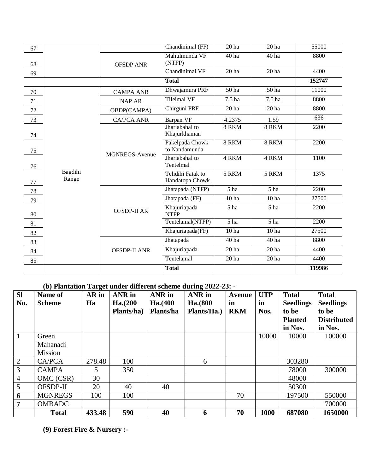| 67 |                  |                       | Chandinimal (FF)                     | 20 <sub>ha</sub>          | 20 <sub>ha</sub>          | 55000  |
|----|------------------|-----------------------|--------------------------------------|---------------------------|---------------------------|--------|
| 68 |                  | <b>OFSDP ANR</b>      | Mahulmunda VF<br>(NTFP)              | 40 ha                     | 40 <sub>ha</sub>          | 8800   |
| 69 |                  |                       | Chandinimal VF                       | 20 <sub>ha</sub>          | 20 <sub>ha</sub>          | 4400   |
|    |                  |                       | <b>Total</b>                         |                           |                           | 152747 |
| 70 |                  | <b>CAMPA ANR</b>      | Dhwajamura PRF                       | 50 ha                     | $\overline{50}$ ha        | 11000  |
| 71 |                  | <b>NAP AR</b>         | <b>Tileimal VF</b>                   | 7.5 ha                    | 7.5 <sub>ha</sub>         | 8800   |
| 72 |                  | OBDP(CAMPA)           | Chirguni PRF                         | 20 <sub>ha</sub>          | 20 <sub>ha</sub>          | 8800   |
| 73 |                  | <b>CA/PCA ANR</b>     | Barpan VF                            | 4.2375                    | 1.59                      | 636    |
| 74 |                  |                       | Jhariabahal to<br>Khajurkhaman       | 8 RKM                     | 8 RKM                     | 2200   |
| 75 |                  | <b>MGNREGS-Avenue</b> | Pakelpada Chowk<br>to Nandamunda     | 8 RKM                     | 8 RKM                     | 2200   |
| 76 |                  |                       | Jhariabahal to<br>Tentelmal          | 4 RKM                     | 4 RKM                     | 1100   |
| 77 | Bagdihi<br>Range |                       | Telidihi Fatak to<br>Handatopa Chowk | 5 RKM                     | 5 RKM                     | 1375   |
| 78 |                  |                       | Jhatapada (NTFP)                     | $\overline{5 \text{ ha}}$ | $\overline{5 \text{ ha}}$ | 2200   |
| 79 |                  |                       | Jhatapada (FF)                       | 10 <sub>ha</sub>          | 10 <sub>ha</sub>          | 27500  |
| 80 |                  | <b>OFSDP-II AR</b>    | Khajuriapada<br><b>NTFP</b>          | 5 ha                      | 5 ha                      | 2200   |
| 81 |                  |                       | Tentelamal(NTFP)                     | 5 ha                      | $\overline{5 \text{ ha}}$ | 2200   |
| 82 |                  |                       | Khajuriapada(FF)                     | 10 <sub>ha</sub>          | 10 <sub>ha</sub>          | 27500  |
| 83 |                  |                       | Jhatapada                            | 40 ha                     | 40 ha                     | 8800   |
| 84 |                  | <b>OFSDP-II ANR</b>   | Khajuriapada                         | 20 <sub>ha</sub>          | 20 <sub>ha</sub>          | 4400   |
| 85 |                  |                       | Tentelamal                           | 20 <sub>ha</sub>          | 20 <sub>ha</sub>          | 4400   |
|    |                  |                       | <b>Total</b>                         |                           |                           | 119986 |

### **(b) Plantation Target under different scheme during 2022-23: -**

| SI<br>No.      | Name of<br><b>Scheme</b> | $\mathbf{\sigma}$<br>AR in<br>Ha | <b>ANR</b> in<br>Ha. (200<br>Plants/ha) | ANR in<br>Ha. (400<br>Plants/ha | ANR in<br>Ha.(800<br>Plants/Ha.) | <b>Avenue</b><br>in<br><b>RKM</b> | <b>UTP</b><br>in<br>Nos. | <b>Total</b><br><b>Seedlings</b><br>to be<br><b>Planted</b><br>in Nos. | <b>Total</b><br><b>Seedlings</b><br>to be<br><b>Distributed</b><br>in Nos. |
|----------------|--------------------------|----------------------------------|-----------------------------------------|---------------------------------|----------------------------------|-----------------------------------|--------------------------|------------------------------------------------------------------------|----------------------------------------------------------------------------|
|                | Green                    |                                  |                                         |                                 |                                  |                                   | 10000                    | 10000                                                                  | 100000                                                                     |
|                | Mahanadi                 |                                  |                                         |                                 |                                  |                                   |                          |                                                                        |                                                                            |
|                | Mission                  |                                  |                                         |                                 |                                  |                                   |                          |                                                                        |                                                                            |
| $\overline{2}$ | CA/PCA                   | 278.48                           | 100                                     |                                 | 6                                |                                   |                          | 303280                                                                 |                                                                            |
| 3              | <b>CAMPA</b>             | 5.                               | 350                                     |                                 |                                  |                                   |                          | 78000                                                                  | 300000                                                                     |
| $\overline{4}$ | OMC (CSR)                | 30                               |                                         |                                 |                                  |                                   |                          | 48000                                                                  |                                                                            |
| 5              | OFSDP-II                 | 20                               | 40                                      | 40                              |                                  |                                   |                          | 50300                                                                  |                                                                            |
| 6              | <b>MGNREGS</b>           | 100                              | 100                                     |                                 |                                  | 70                                |                          | 197500                                                                 | 550000                                                                     |
| $\overline{7}$ | <b>OMBADC</b>            |                                  |                                         |                                 |                                  |                                   |                          |                                                                        | 700000                                                                     |
|                | <b>Total</b>             | 433.48                           | 590                                     | 40                              | 6                                | 70                                | 1000                     | 687080                                                                 | 1650000                                                                    |

**(9) Forest Fire & Nursery :-**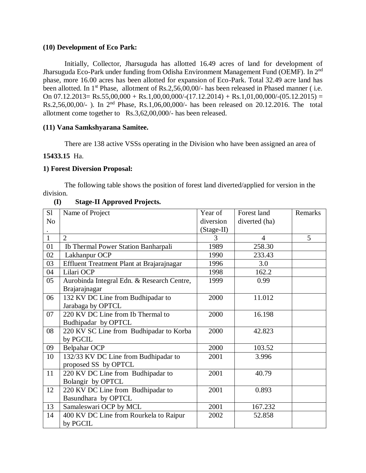#### **(10) Development of Eco Park:**

Initially, Collector, Jharsuguda has allotted 16.49 acres of land for development of Jharsuguda Eco-Park under funding from Odisha Environment Management Fund (OEMF). In 2nd phase, more 16.00 acres has been allotted for expansion of Eco-Park. Total 32.49 acre land has been allotted. In 1<sup>st</sup> Phase, allotment of Rs.2,56,00,00/- has been released in Phased manner (i.e. On 07.12.2013= Rs.55,00,000 + Rs.1,00,00,000/-(17.12.2014) + Rs.1,01,00,000/-(05.12.2015) = Rs.2,56,00,00/- ). In 2nd Phase, Rs.1,06,00,000/- has been released on 20.12.2016. The total allotment come together to Rs.3,62,00,000/- has been released.

#### **(11) Vana Samkshyarana Samitee.**

There are 138 active VSSs operating in the Division who have been assigned an area of

#### **15433.15** Ha.

#### **1) Forest Diversion Proposal:**

The following table shows the position of forest land diverted/applied for version in the division.

| S1             | Name of Project                            | Year of    | Forest land   | Remarks |
|----------------|--------------------------------------------|------------|---------------|---------|
| N <sub>o</sub> |                                            | diversion  | diverted (ha) |         |
|                |                                            | (Stage-II) |               |         |
| $\mathbf{1}$   | $\overline{2}$                             | 3          | 4             | 5       |
| 01             | Ib Thermal Power Station Banharpali        | 1989       | 258.30        |         |
| 02             | Lakhanpur OCP                              | 1990       | 233.43        |         |
| 03             | Effluent Treatment Plant at Brajarajnagar  | 1996       | 3.0           |         |
| 04             | Lilari OCP                                 | 1998       | 162.2         |         |
| 05             | Aurobinda Integral Edn. & Research Centre, | 1999       | 0.99          |         |
|                | Brajarajnagar                              |            |               |         |
| 06             | 132 KV DC Line from Budhipadar to          | 2000       | 11.012        |         |
|                | Jarabaga by OPTCL                          |            |               |         |
| 07             | 220 KV DC Line from Ib Thermal to          | 2000       | 16.198        |         |
|                | Budhipadar by OPTCL                        |            |               |         |
| 08             | 220 KV SC Line from Budhipadar to Korba    | 2000       | 42.823        |         |
|                | by PGCIL                                   |            |               |         |
| 09             | <b>Belpahar OCP</b>                        | 2000       | 103.52        |         |
| 10             | 132/33 KV DC Line from Budhipadar to       | 2001       | 3.996         |         |
|                | proposed SS by OPTCL                       |            |               |         |
| 11             | 220 KV DC Line from Budhipadar to          | 2001       | 40.79         |         |
|                | Bolangir by OPTCL                          |            |               |         |
| 12             | 220 KV DC Line from Budhipadar to          | 2001       | 0.893         |         |
|                | Basundhara by OPTCL                        |            |               |         |
| 13             | Samaleswari OCP by MCL                     | 2001       | 167.232       |         |
| 14             | 400 KV DC Line from Rourkela to Raipur     | 2002       | 52.858        |         |
|                | by PGCIL                                   |            |               |         |

### **(I) Stage-II Approved Projects.**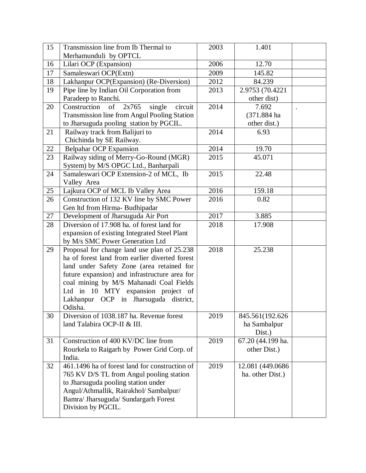| 15 | Transmission line from Ib Thermal to            | 2003 | 1.401             |  |
|----|-------------------------------------------------|------|-------------------|--|
|    | Merhamunduli by OPTCL                           |      |                   |  |
| 16 | Lilari OCP (Expansion)                          | 2006 | 12.70             |  |
| 17 | Samaleswari OCP(Extn)                           | 2009 | 145.82            |  |
| 18 | Lakhanpur OCP(Expansion) (Re-Diversion)         | 2012 | 84.239            |  |
| 19 | Pipe line by Indian Oil Corporation from        | 2013 | 2.9753 (70.4221   |  |
|    | Paradeep to Ranchi.                             |      | other dist)       |  |
| 20 | Construction<br>of $2x765$<br>circuit<br>single | 2014 | 7.692             |  |
|    | Transmission line from Angul Pooling Station    |      | (371.884 ha       |  |
|    | to Jharsuguda pooling station by PGCIL.         |      | other dist.)      |  |
| 21 | Railway track from Balijuri to                  | 2014 | 6.93              |  |
|    | Chichinda by SE Railway.                        |      |                   |  |
| 22 | <b>Belpahar OCP Expansion</b>                   | 2014 | 19.70             |  |
| 23 | Railway siding of Merry-Go-Round (MGR)          | 2015 | 45.071            |  |
|    | System) by M/S OPGC Ltd., Banharpali            |      |                   |  |
| 24 | Samaleswari OCP Extension-2 of MCL, Ib          | 2015 | 22.48             |  |
|    | Valley Area                                     |      |                   |  |
| 25 | Lajkura OCP of MCL Ib Valley Area               | 2016 | 159.18            |  |
| 26 | Construction of 132 KV line by SMC Power        | 2016 | 0.82              |  |
|    | Gen ltd from Hirma- Budhipadar                  |      |                   |  |
| 27 | Development of Jharsuguda Air Port              | 2017 | 3.885             |  |
| 28 | Diversion of 17.908 ha. of forest land for      | 2018 | 17.908            |  |
|    | expansion of existing Integrated Steel Plant    |      |                   |  |
|    | by M/s SMC Power Generation Ltd                 |      |                   |  |
| 29 | Proposal for change land use plan of 25.238     | 2018 | 25.238            |  |
|    | ha of forest land from earlier diverted forest  |      |                   |  |
|    | land under Safety Zone (area retained for       |      |                   |  |
|    | future expansion) and infrastructure area for   |      |                   |  |
|    | coal mining by M/S Mahanadi Coal Fields         |      |                   |  |
|    | Ltd in 10 MTY expansion project of              |      |                   |  |
|    | Lakhanpur OCP in Jharsuguda district,           |      |                   |  |
|    | Odisha.                                         |      |                   |  |
| 30 | Diversion of 1038.187 ha. Revenue forest        | 2019 | 845.561(192.626)  |  |
|    | land Talabira OCP-II & III.                     |      | ha Sambalpur      |  |
|    |                                                 |      | Dist.)            |  |
| 31 | Construction of 400 KV/DC line from             | 2019 | 67.20 (44.199 ha. |  |
|    | Rourkela to Raigarh by Power Grid Corp. of      |      | other Dist.)      |  |
|    | India.                                          |      |                   |  |
| 32 | 461.1496 ha of forest land for construction of  | 2019 | 12.081 (449.0686) |  |
|    | 765 KV D/S TL from Angul pooling station        |      | ha. other Dist.)  |  |
|    | to Jharsuguda pooling station under             |      |                   |  |
|    | Angul/Athmallik, Rairakhol/ Sambalpur/          |      |                   |  |
|    | Bamra/ Jharsuguda/ Sundargarh Forest            |      |                   |  |
|    | Division by PGCIL.                              |      |                   |  |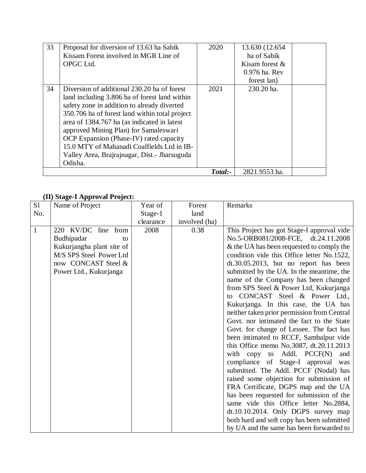| 33 | Proposal for diversion of 13.63 ha Sabik       | 2020    | 13.630 (12.654)   |  |
|----|------------------------------------------------|---------|-------------------|--|
|    | Kissam Forest involved in MGR Line of          |         | ha of Sabik       |  |
|    | OPGC Ltd.                                      |         | Kisam forest $\&$ |  |
|    |                                                |         | 0.976 ha. Rev     |  |
|    |                                                |         | forest lan)       |  |
| 34 | Diversion of additional 230.20 ha of forest    | 2021    | 230.20 ha.        |  |
|    | land including 3.806 ha of forest land within  |         |                   |  |
|    | safety zone in addition to already diverted    |         |                   |  |
|    | 350.706 ha of forest land within total project |         |                   |  |
|    | area of 1384.767 ha (as indicated in latest    |         |                   |  |
|    | approved Mining Plan) for Samaleswari          |         |                   |  |
|    | OCP Expansion (Phase-IV) rated capacity        |         |                   |  |
|    | 15.0 MTY of Mahanadi Coalfields Ltd in IB-     |         |                   |  |
|    | Valley Area, Brajrajnagar, Dist. - Jharsuguda  |         |                   |  |
|    | Odisha.                                        |         |                   |  |
|    |                                                | Total:- | 2821.9553 ha.     |  |

## **(II) Stage-I Approval Project:**

| S <sub>1</sub> | $(11)$ buge 1.1 pp over 1 logen<br>Name of Project | Year of   | Forest        | Remarks                                     |
|----------------|----------------------------------------------------|-----------|---------------|---------------------------------------------|
| No.            |                                                    | Stage-1   | land          |                                             |
|                |                                                    | clearance | involved (ha) |                                             |
| $\mathbf{1}$   | 220 KV/DC line from                                | 2008      | 0.38          | This Project has got Stage-I approval vide  |
|                | Budhipadar<br>to                                   |           |               | No.5-ORB081/2008-FCE, dt.24.11.2008         |
|                | Kukurjangha plant site of                          |           |               | & the UA has been requested to comply the   |
|                | M/S SPS Steel Power Ltd                            |           |               | condition vide this Office letter No.1522,  |
|                | now CONCAST Steel &                                |           |               | $dt.30.05.2013$ , but no report has been    |
|                | Power Ltd., Kukurjanga                             |           |               | submitted by the UA. In the meantime, the   |
|                |                                                    |           |               | name of the Company has been changed        |
|                |                                                    |           |               | from SPS Steel & Power Ltd, Kukurjanga      |
|                |                                                    |           |               | to CONCAST Steel & Power Ltd.,              |
|                |                                                    |           |               | Kukurjanga. In this case, the UA has        |
|                |                                                    |           |               | neither taken prior permission from Central |
|                |                                                    |           |               | Govt. nor intimated the fact to the State   |
|                |                                                    |           |               | Govt. for change of Lessee. The fact has    |
|                |                                                    |           |               | been intimated to RCCF, Sambalpur vide      |
|                |                                                    |           |               | this Office memo No.3087, dt.20.11.2013     |
|                |                                                    |           |               | with copy to Addl. PCCF(N)<br>and           |
|                |                                                    |           |               | compliance of Stage-I approval was          |
|                |                                                    |           |               | submitted. The Addl. PCCF (Nodal) has       |
|                |                                                    |           |               | raised some objection for submission of     |
|                |                                                    |           |               | FRA Certificate, DGPS map and the UA        |
|                |                                                    |           |               | has been requested for submission of the    |
|                |                                                    |           |               | same vide this Office letter No.2884,       |
|                |                                                    |           |               | $dt.10.10.2014$ . Only DGPS survey map      |
|                |                                                    |           |               | both hard and soft copy has been submitted  |
|                |                                                    |           |               | by UA and the same has been forwarded to    |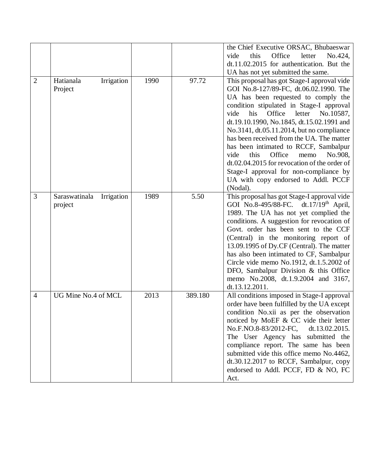|                |                             |      |         | the Chief Executive ORSAC, Bhubaeswar             |
|----------------|-----------------------------|------|---------|---------------------------------------------------|
|                |                             |      |         | this<br>Office<br>vide<br>letter<br>No.424,       |
|                |                             |      |         | dt.11.02.2015 for authentication. But the         |
|                |                             |      |         | UA has not yet submitted the same.                |
| $\overline{2}$ | Hatianala<br>Irrigation     | 1990 | 97.72   | This proposal has got Stage-I approval vide       |
|                | Project                     |      |         | GOI No.8-127/89-FC, dt.06.02.1990. The            |
|                |                             |      |         | UA has been requested to comply the               |
|                |                             |      |         | condition stipulated in Stage-I approval          |
|                |                             |      |         | Office<br>his<br>letter<br>vide<br>No.10587,      |
|                |                             |      |         | dt.19.10.1990, No.1845, dt.15.02.1991 and         |
|                |                             |      |         |                                                   |
|                |                             |      |         | No.3141, dt.05.11.2014, but no compliance         |
|                |                             |      |         | has been received from the UA. The matter         |
|                |                             |      |         | has been intimated to RCCF, Sambalpur             |
|                |                             |      |         | Office<br>this<br>memo<br>No.908,<br>vide         |
|                |                             |      |         | dt.02.04.2015 for revocation of the order of      |
|                |                             |      |         | Stage-I approval for non-compliance by            |
|                |                             |      |         | UA with copy endorsed to Addl. PCCF               |
|                |                             |      |         | (Nodal).                                          |
| 3              | Saraswatinala<br>Irrigation | 1989 | 5.50    | This proposal has got Stage-I approval vide       |
|                | project                     |      |         | GOI No.8-495/88-FC. dt.17/19 <sup>th</sup> April, |
|                |                             |      |         | 1989. The UA has not yet complied the             |
|                |                             |      |         | conditions. A suggestion for revocation of        |
|                |                             |      |         | Govt. order has been sent to the CCF              |
|                |                             |      |         | (Central) in the monitoring report of             |
|                |                             |      |         | 13.09.1995 of Dy.CF (Central). The matter         |
|                |                             |      |         | has also been intimated to CF, Sambalpur          |
|                |                             |      |         | Circle vide memo No.1912, dt.1.5.2002 of          |
|                |                             |      |         | DFO, Sambalpur Division & this Office             |
|                |                             |      |         | memo No.2008, dt.1.9.2004 and 3167,               |
|                |                             |      |         | dt.13.12.2011.                                    |
| $\overline{4}$ | UG Mine No.4 of MCL         | 2013 | 389.180 | All conditions imposed in Stage-I approval        |
|                |                             |      |         | order have been fulfilled by the UA except        |
|                |                             |      |         | condition No.xii as per the observation           |
|                |                             |      |         | noticed by MoEF & CC vide their letter            |
|                |                             |      |         | No.F.NO.8-83/2012-FC, dt.13.02.2015.              |
|                |                             |      |         | The User Agency has submitted the                 |
|                |                             |      |         | compliance report. The same has been              |
|                |                             |      |         | submitted vide this office memo No.4462,          |
|                |                             |      |         | dt.30.12.2017 to RCCF, Sambalpur, copy            |
|                |                             |      |         | endorsed to Addl. PCCF, FD & NO, FC               |
|                |                             |      |         | Act.                                              |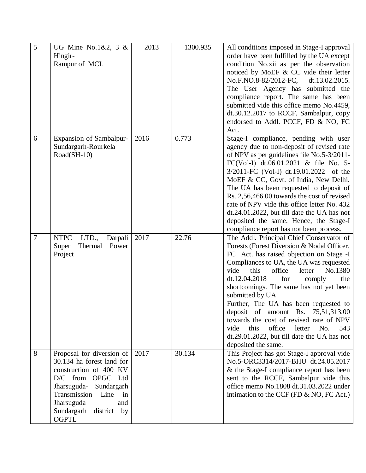| 5 | UG Mine No.1&2, $3 \&$          | 2013 | 1300.935 | All conditions imposed in Stage-I approval     |
|---|---------------------------------|------|----------|------------------------------------------------|
|   | Hingir-                         |      |          | order have been fulfilled by the UA except     |
|   | Rampur of MCL                   |      |          | condition No.xii as per the observation        |
|   |                                 |      |          | noticed by MoEF & CC vide their letter         |
|   |                                 |      |          | No.F.NO.8-82/2012-FC,<br>dt.13.02.2015.        |
|   |                                 |      |          | The User Agency has submitted the              |
|   |                                 |      |          | compliance report. The same has been           |
|   |                                 |      |          | submitted vide this office memo No.4459,       |
|   |                                 |      |          | dt.30.12.2017 to RCCF, Sambalpur, copy         |
|   |                                 |      |          | endorsed to Addl. PCCF, FD & NO, FC            |
|   |                                 |      |          | Act.                                           |
| 6 |                                 | 2016 | 0.773    |                                                |
|   | Expansion of Sambalpur-         |      |          | Stage-I compliance, pending with user          |
|   | Sundargarh-Rourkela             |      |          | agency due to non-deposit of revised rate      |
|   | Road(SH-10)                     |      |          | of NPV as per guidelines file No.5-3/2011-     |
|   |                                 |      |          | FC(Vol-I) dt.06.01.2021 & file No. 5-          |
|   |                                 |      |          | 3/2011-FC (Vol-I) dt.19.01.2022 of the         |
|   |                                 |      |          | MoEF & CC, Govt. of India, New Delhi.          |
|   |                                 |      |          | The UA has been requested to deposit of        |
|   |                                 |      |          | Rs. 2,56,466.00 towards the cost of revised    |
|   |                                 |      |          | rate of NPV vide this office letter No. 432    |
|   |                                 |      |          | dt.24.01.2022, but till date the UA has not    |
|   |                                 |      |          | deposited the same. Hence, the Stage-I         |
|   |                                 |      |          | compliance report has not been process.        |
| 7 | <b>NTPC</b><br>LTD.,<br>Darpali | 2017 | 22.76    | The Addl. Principal Chief Conservator of       |
|   | Super<br>Thermal<br>Power       |      |          | Forests (Forest Diversion & Nodal Officer,     |
|   | Project                         |      |          | FC Act. has raised objection on Stage -I       |
|   |                                 |      |          | Compliances to UA, the UA was requested        |
|   |                                 |      |          | vide<br>this<br>office<br>No.1380<br>letter    |
|   |                                 |      |          | dt.12.04.2018<br>for<br>comply<br>the          |
|   |                                 |      |          | shortcomings. The same has not yet been        |
|   |                                 |      |          | submitted by UA.                               |
|   |                                 |      |          | Further, The UA has been requested to          |
|   |                                 |      |          | deposit of amount Rs. 75,51,313.00             |
|   |                                 |      |          | towards the cost of revised rate of NPV        |
|   |                                 |      |          | this<br>office<br>No.<br>vide<br>letter<br>543 |
|   |                                 |      |          | dt.29.01.2022, but till date the UA has not    |
|   |                                 |      |          | deposited the same.                            |
| 8 | Proposal for diversion of       | 2017 | 30.134   | This Project has got Stage-I approval vide     |
|   | 30.134 ha forest land for       |      |          | No.5-ORC3314/2017-BHU dt.24.05.2017            |
|   | construction of 400 KV          |      |          | & the Stage-I compliance report has been       |
|   | D/C from OPGC Ltd               |      |          | sent to the RCCF, Sambalpur vide this          |
|   | Jharsuguda- Sundargarh          |      |          | office memo No.1808 dt.31.03.2022 under        |
|   | Transmission Line<br>in         |      |          | intimation to the CCF (FD & NO, FC Act.)       |
|   |                                 |      |          |                                                |
|   | Jharsuguda<br>and               |      |          |                                                |
|   | Sundargarh district by          |      |          |                                                |
|   | <b>OGPTL</b>                    |      |          |                                                |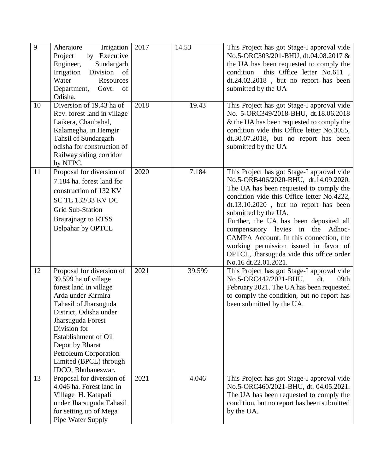| $\overline{9}$ | Aherajore<br>Irrigation<br>Project<br>by Executive<br>Sundargarh<br>Engineer,<br>Irrigation Division<br>of<br>Water<br>Resources<br>Department,<br>Govt.<br>of<br>Odisha.                                                                                                                                            | 2017 | 14.53  | This Project has got Stage-I approval vide<br>No.5-ORC303/201-BHU, dt.04.08.2017 &<br>the UA has been requested to comply the<br>this Office letter No.611,<br>condition<br>$dt.24.02.2018$ , but no report has been<br>submitted by the UA                                                                                                                                                                                                                                              |
|----------------|----------------------------------------------------------------------------------------------------------------------------------------------------------------------------------------------------------------------------------------------------------------------------------------------------------------------|------|--------|------------------------------------------------------------------------------------------------------------------------------------------------------------------------------------------------------------------------------------------------------------------------------------------------------------------------------------------------------------------------------------------------------------------------------------------------------------------------------------------|
| 10             | Diversion of 19.43 ha of<br>Rev. forest land in village<br>Laikera, Chaubahal,<br>Kalamegha, in Hemgir<br>Tahsil of Sundargarh<br>odisha for construction of<br>Railway siding corridor<br>by NTPC.                                                                                                                  | 2018 | 19.43  | This Project has got Stage-I approval vide<br>No. 5-ORC349/2018-BHU, dt.18.06.2018<br>& the UA has been requested to comply the<br>condition vide this Office letter No.3055,<br>dt.30.07.2018, but no report has been<br>submitted by the UA                                                                                                                                                                                                                                            |
| 11             | Proposal for diversion of<br>7.184 ha. forest land for<br>construction of 132 KV<br>SC TL 132/33 KV DC<br><b>Grid Sub-Station</b><br>Brajrajnagr to RTSS<br>Belpahar by OPTCL                                                                                                                                        | 2020 | 7.184  | This Project has got Stage-I approval vide<br>No.5-ORB406/2020-BHU, dt.14.09.2020.<br>The UA has been requested to comply the<br>condition vide this Office letter No.4222,<br>dt.13.10.2020, but no report has been<br>submitted by the UA.<br>Further, the UA has been deposited all<br>compensatory levies in<br>the<br>Adhoc-<br>CAMPA Account. In this connection, the<br>working permission issued in favor of<br>OPTCL, Jharsuguda vide this office order<br>No.16 dt.22.01.2021. |
| 12             | Proposal for diversion of<br>39.599 ha of village<br>forest land in village<br>Arda under Kirmira<br>Tahasil of Jharsuguda<br>District, Odisha under<br>Jharsuguda Forest<br>Division for<br><b>Establishment of Oil</b><br>Depot by Bharat<br>Petroleum Corporation<br>Limited (BPCL) through<br>IDCO, Bhubaneswar. | 2021 | 39.599 | This Project has got Stage-I approval vide<br>No.5-ORC442/2021-BHU,<br>dt.<br>09th<br>February 2021. The UA has been requested<br>to comply the condition, but no report has<br>been submitted by the UA.                                                                                                                                                                                                                                                                                |
| 13             | Proposal for diversion of<br>4.046 ha. Forest land in<br>Village H. Katapali<br>under Jharsuguda Tahasil<br>for setting up of Mega<br>Pipe Water Supply                                                                                                                                                              | 2021 | 4.046  | This Project has got Stage-I approval vide<br>No.5-ORC460/2021-BHU, dt. 04.05.2021.<br>The UA has been requested to comply the<br>condition, but no report has been submitted<br>by the UA.                                                                                                                                                                                                                                                                                              |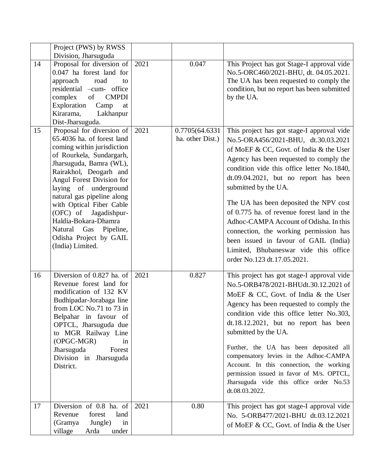|    | Project (PWS) by RWSS                                                                                                                                                                                                                                                                                                                                                                                                |      |                                    |                                                                                                                                                                                                                                                                                                                                                                                                                                                                                                                                                                                        |
|----|----------------------------------------------------------------------------------------------------------------------------------------------------------------------------------------------------------------------------------------------------------------------------------------------------------------------------------------------------------------------------------------------------------------------|------|------------------------------------|----------------------------------------------------------------------------------------------------------------------------------------------------------------------------------------------------------------------------------------------------------------------------------------------------------------------------------------------------------------------------------------------------------------------------------------------------------------------------------------------------------------------------------------------------------------------------------------|
| 14 | Division, Jharsuguda<br>Proposal for diversion of<br>0.047 ha forest land for<br>approach<br>road<br>to<br>residential -cum- office<br>of<br>complex<br><b>CMPDI</b><br>Exploration<br>Camp<br>at<br>Lakhanpur<br>Kirarama,<br>Dist-Jharsuguda.                                                                                                                                                                      | 2021 | 0.047                              | This Project has got Stage-I approval vide<br>No.5-ORC460/2021-BHU, dt. 04.05.2021.<br>The UA has been requested to comply the<br>condition, but no report has been submitted<br>by the UA.                                                                                                                                                                                                                                                                                                                                                                                            |
| 15 | Proposal for diversion of<br>65.4036 ha. of forest land<br>coming within jurisdiction<br>of Rourkela, Sundargarh,<br>Jharsuguda, Bamra (WL),<br>Rairakhol, Deogarh and<br>Angul Forest Division for<br>laying of underground<br>natural gas pipeline along<br>with Optical Fiber Cable<br>(OFC) of Jagadishpur-<br>Haldia-Bokara-Dhamra<br>Natural<br>Gas<br>Pipeline,<br>Odisha Project by GAIL<br>(India) Limited. | 2021 | 0.7705(64.6331<br>ha. other Dist.) | This project has got stage-I approval vide<br>No.5-ORA456/2021-BHU, dt.30.03.2021<br>of MoEF & CC, Govt. of India & the User<br>Agency has been requested to comply the<br>condition vide this office letter No.1840,<br>$dt.09.04.2021$ , but no report has been<br>submitted by the UA.<br>The UA has been deposited the NPV cost<br>of 0.775 ha. of revenue forest land in the<br>Adhoc-CAMPA Account of Odisha. In this<br>connection, the working permission has<br>been issued in favour of GAIL (India)<br>Limited, Bhubaneswar vide this office<br>order No.123 dt.17.05.2021. |
| 16 | Diversion of 0.827 ha. of<br>Revenue forest land for<br>modification of 132 KV<br>Budhipadar-Jorabaga line<br>from LOC No.71 to 73 in<br>Belpahar in favour of<br>OPTCL, Jharsuguda due<br>to MGR Railway Line<br>(OPGC-MGR)<br>in<br>Jharsuguda<br>Forest<br>Division in Jharsuguda<br>District.                                                                                                                    | 2021 | 0.827                              | This project has got stage-I approval vide<br>No.5-ORB478/2021-BHUdt.30.12.2021 of<br>MoEF & CC, Govt. of India & the User<br>Agency has been requested to comply the<br>condition vide this office letter No.303,<br>$dt.18.12.2021$ , but no report has been<br>submitted by the UA.<br>Further, the UA has been deposited all<br>compensatory levies in the Adhoc-CAMPA<br>Account. In this connection, the working<br>permission issued in favor of M/s. OPTCL,<br>Jharsuguda vide this office order No.53<br>dt.08.03.2022.                                                       |
| 17 | Diversion of 0.8 ha. of<br>Revenue<br>forest<br>land<br>(Gramya<br>Jungle)<br>in<br>village<br>Arda<br>under                                                                                                                                                                                                                                                                                                         | 2021 | 0.80                               | This project has got stage-I approval vide<br>No. 5-ORB477/2021-BHU dt.03.12.2021<br>of MoEF & CC, Govt. of India & the User                                                                                                                                                                                                                                                                                                                                                                                                                                                           |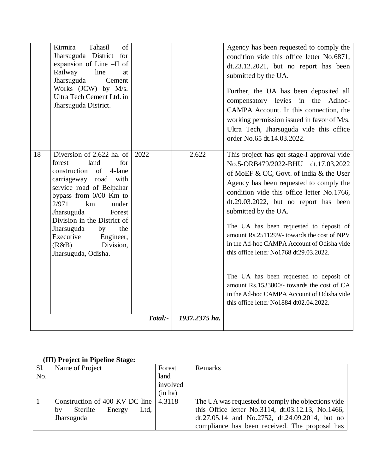| Kirmira<br>Tahasil<br>of<br>Jharsuguda District for<br>expansion of Line -II of<br>line<br>Railway<br>at<br>Jharsuguda<br>Cement<br>Works (JCW) by M/s.<br>Ultra Tech Cement Ltd. in<br>Jharsuguda District.                                                                                                                                               |         |               | Agency has been requested to comply the<br>condition vide this office letter No.6871,<br>dt.23.12.2021, but no report has been<br>submitted by the UA.<br>Further, the UA has been deposited all<br>compensatory levies in the<br>Adhoc-<br>CAMPA Account. In this connection, the<br>working permission issued in favor of M/s.<br>Ultra Tech, Jharsuguda vide this office<br>order No.65 dt.14.03.2022.                                                                                                                                                                                                                                                        |
|------------------------------------------------------------------------------------------------------------------------------------------------------------------------------------------------------------------------------------------------------------------------------------------------------------------------------------------------------------|---------|---------------|------------------------------------------------------------------------------------------------------------------------------------------------------------------------------------------------------------------------------------------------------------------------------------------------------------------------------------------------------------------------------------------------------------------------------------------------------------------------------------------------------------------------------------------------------------------------------------------------------------------------------------------------------------------|
| 18<br>Diversion of 2.622 ha. of<br>for<br>forest<br>land<br>construction<br>of<br>4-lane<br>carriageway road with<br>service road of Belpahar<br>bypass from $0/00$ Km to<br>km<br>2/971<br>under<br>Jharsuguda<br>Forest<br>Division in the District of<br>Jharsuguda<br>the<br>by<br>Executive<br>Engineer,<br>Division,<br>(R&B)<br>Jharsuguda, Odisha. | 2022    | 2.622         | This project has got stage-I approval vide<br>No.5-ORB479/2022-BHU<br>dt.17.03.2022<br>of MoEF & CC, Govt. of India & the User<br>Agency has been requested to comply the<br>condition vide this office letter No.1766,<br>$dt.29.03.2022$ , but no report has been<br>submitted by the UA.<br>The UA has been requested to deposit of<br>amount Rs.2511299/- towards the cost of NPV<br>in the Ad-hoc CAMPA Account of Odisha vide<br>this office letter No1768 dt29.03.2022.<br>The UA has been requested to deposit of<br>amount Rs.1533800/- towards the cost of CA<br>in the Ad-hoc CAMPA Account of Odisha vide<br>this office letter No1884 dt02.04.2022. |
|                                                                                                                                                                                                                                                                                                                                                            | Total:- | 1937.2375 ha. |                                                                                                                                                                                                                                                                                                                                                                                                                                                                                                                                                                                                                                                                  |

# **(III) Project in Pipeline Stage:**

| Sl. | Name of Project                               | Forest   | Remarks                                            |
|-----|-----------------------------------------------|----------|----------------------------------------------------|
| No. |                                               | land     |                                                    |
|     |                                               | involved |                                                    |
|     |                                               | (in ha)  |                                                    |
|     | Construction of 400 KV DC line $\vert$ 4.3118 |          | The UA was requested to comply the objections vide |
|     | Ltd,<br>Sterlite<br>Energy<br>by              |          | this Office letter No.3114, dt.03.12.13, No.1466,  |
|     | Jharsuguda                                    |          | dt.27.05.14 and No.2752, dt.24.09.2014, but no     |
|     |                                               |          | compliance has been received. The proposal has     |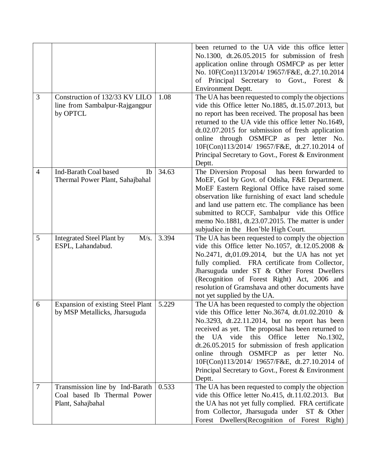| $\mathfrak{Z}$ | Construction of 132/33 KV LILO                                                      | 1.08  | been returned to the UA vide this office letter<br>No.1300, dt.26.05.2015 for submission of fresh<br>application online through OSMFCP as per letter<br>No. 10F(Con)113/2014/ 19657/F&E, dt.27.10.2014<br>Principal Secretary to Govt., Forest &<br>οf<br><b>Environment Deptt.</b><br>The UA has been requested to comply the objections                                                                                                                                         |
|----------------|-------------------------------------------------------------------------------------|-------|-----------------------------------------------------------------------------------------------------------------------------------------------------------------------------------------------------------------------------------------------------------------------------------------------------------------------------------------------------------------------------------------------------------------------------------------------------------------------------------|
|                | line from Sambalpur-Rajgangpur<br>by OPTCL                                          |       | vide this Office letter No.1885, dt.15.07.2013, but<br>no report has been received. The proposal has been<br>returned to the UA vide this office letter No.1649,<br>$dt.02.07.2015$ for submission of fresh application<br>online through OSMFCP as per letter No.<br>10F(Con)113/2014/ 19657/F&E, dt.27.10.2014 of<br>Principal Secretary to Govt., Forest & Environment<br>Deptt.                                                                                               |
| $\overline{4}$ | Ind-Barath Coal based<br>Ib<br>Thermal Power Plant, Sahajbahal                      | 34.63 | The Diversion Proposal<br>has been forwarded to<br>MoEF, GoI by Govt. of Odisha, F&E Department.<br>MoEF Eastern Regional Office have raised some<br>observation like furnishing of exact land schedule<br>and land use pattern etc. The compliance has been<br>submitted to RCCF, Sambalpur vide this Office<br>memo No.1881, dt.23.07.2015. The matter is under<br>subjudice in the Hon'ble High Court.                                                                         |
| 5              | <b>Integrated Steel Plant by</b><br>M/s.<br>ESPL, Lahandabud.                       | 3.394 | The UA has been requested to comply the objection<br>vide this Office letter No.1057, dt.12.05.2008 $&$<br>No.2471, dt,01.09.2014, but the UA has not yet<br>fully complied. FRA certificate from Collector,<br>Jharsuguda under ST & Other Forest Dwellers<br>(Recognition of Forest Right) Act, 2006 and<br>resolution of Gramshava and other documents have<br>not yet supplied by the UA.                                                                                     |
| 6              | Expansion of existing Steel Plant<br>by MSP Metallicks, Jharsuguda                  | 5.229 | The UA has been requested to comply the objection<br>vide this Office letter No.3674, dt.01.02.2010 &<br>No.3293, dt.22.11.2014, but no report has been<br>received as yet. The proposal has been returned to<br>the UA vide<br>this Office letter<br>No.1302,<br>$dt.26.05.2015$ for submission of fresh application<br>online through OSMFCP as per letter No.<br>10F(Con)113/2014/ 19657/F&E, dt.27.10.2014 of<br>Principal Secretary to Govt., Forest & Environment<br>Deptt. |
| $\overline{7}$ | Transmission line by Ind-Barath<br>Coal based Ib Thermal Power<br>Plant, Sahajbahal | 0.533 | The UA has been requested to comply the objection<br>vide this Office letter No.415, dt.11.02.2013. But<br>the UA has not yet fully complied. FRA certificate<br>from Collector, Jharsuguda under<br>ST & Other<br>Forest Dwellers (Recognition of Forest Right)                                                                                                                                                                                                                  |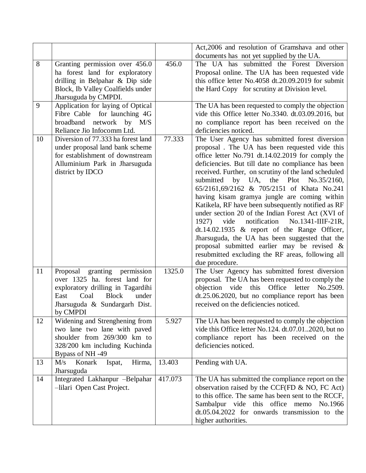|    |                                       |         | Act, 2006 and resolution of Gramshava and other                                              |
|----|---------------------------------------|---------|----------------------------------------------------------------------------------------------|
|    |                                       |         | documents has not yet supplied by the UA.                                                    |
| 8  | Granting permission over 456.0        | 456.0   | The UA has submitted the Forest Diversion                                                    |
|    | ha forest land for exploratory        |         | Proposal online. The UA has been requested vide                                              |
|    | drilling in Belpahar & Dip side       |         | this office letter No.4058 dt.20.09.2019 for submit                                          |
|    | Block, Ib Valley Coalfields under     |         | the Hard Copy for scrutiny at Division level.                                                |
|    | Jharsuguda by CMPDI.                  |         |                                                                                              |
| 9  | Application for laying of Optical     |         | The UA has been requested to comply the objection                                            |
|    | Fibre Cable for launching 4G          |         | vide this Office letter No.3340. dt.03.09.2016, but                                          |
|    | network<br>broadband<br>by $M/S$      |         | no compliance report has been received on the                                                |
|    | Reliance Jio Infocomm Ltd.            |         | deficiencies noticed.                                                                        |
| 10 | Diversion of 77.333 ha forest land    | 77.333  | The User Agency has submitted forest diversion                                               |
|    | under proposal land bank scheme       |         | proposal. The UA has been requested vide this                                                |
|    | for establishment of downstream       |         | office letter No.791 dt.14.02.2019 for comply the                                            |
|    | Alluminium Park in Jharsuguda         |         | deficiencies. But till date no compliance has been                                           |
|    | district by IDCO                      |         | received. Further, on scrutiny of the land scheduled                                         |
|    |                                       |         | by UA,<br>submitted<br>the Plot<br>No.35/2160,<br>65/2161,69/2162 & 705/2151 of Khata No.241 |
|    |                                       |         | having kisam gramya jungle are coming within                                                 |
|    |                                       |         | Katikela, RF have been subsequently notified as RF                                           |
|    |                                       |         | under section 20 of the Indian Forest Act (XVI of                                            |
|    |                                       |         | notification<br>No.1341-IIIF-21R,<br>1927)<br>vide                                           |
|    |                                       |         | $dt.14.02.1935$ & report of the Range Officer,                                               |
|    |                                       |         | Jharsuguda, the UA has been suggested that the                                               |
|    |                                       |         | proposal submitted earlier may be revised $\&$                                               |
|    |                                       |         | resubmitted excluding the RF areas, following all                                            |
|    |                                       |         | due procedure.                                                                               |
| 11 | Proposal granting permission          | 1325.0  | The User Agency has submitted forest diversion                                               |
|    | over 1325 ha. forest land for         |         | proposal. The UA has been requested to comply the                                            |
|    | exploratory drilling in Tagardihi     |         | objection vide this Office letter<br>No.2509.                                                |
|    | Coal<br><b>Block</b><br>East<br>under |         | $dt.25.06.2020$ , but no compliance report has been                                          |
|    | Jharsuguda & Sundargarh Dist.         |         | received on the deficiencies noticed.                                                        |
|    | by CMPDI                              |         |                                                                                              |
| 12 | Widening and Strenghening from        | 5.927   | The UA has been requested to comply the objection                                            |
|    | two lane two lane with paved          |         | vide this Office letter No.124. dt.07.012020, but no                                         |
|    | shoulder from 269/300 km to           |         | compliance report has been received on the                                                   |
|    | 328/200 km including Kuchinda         |         | deficiencies noticed.                                                                        |
|    | Bypass of NH -49                      |         |                                                                                              |
| 13 | M/s<br>Konark<br>Hirma,<br>Ispat,     | 13.403  | Pending with UA.                                                                             |
|    | Jharsuguda                            |         |                                                                                              |
| 14 | Integrated Lakhanpur -Belpahar        | 417.073 | The UA has submitted the compliance report on the                                            |
|    | -lilari Open Cast Project.            |         | observation raised by the CCF(FD & NO, FC Act)                                               |
|    |                                       |         | to this office. The same has been sent to the RCCF,                                          |
|    |                                       |         | Sambalpur vide this office memo<br>No.1966                                                   |
|    |                                       |         | dt.05.04.2022 for onwards transmission to the                                                |
|    |                                       |         | higher authorities.                                                                          |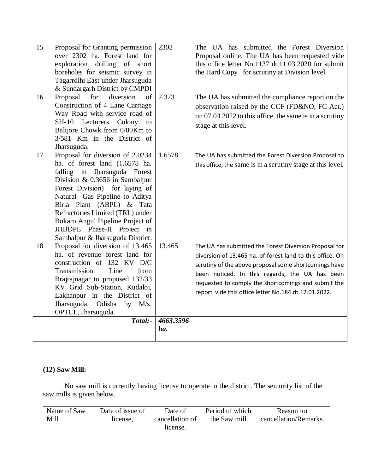| 15 | Proposal for Granting permission<br>over 2302 ha. Forest land for<br>exploration drilling of short<br>boreholes for seismic survey in<br>Tagarrdihi East under Jharsuguda                                                                                                                                                                                                       | 2302             | The UA has submitted the Forest Diversion<br>Proposal online. The UA has been requested vide<br>this office letter No.1137 dt.11.03.2020 for submit<br>the Hard Copy for scrutiny at Division level.                                                                                                                                          |
|----|---------------------------------------------------------------------------------------------------------------------------------------------------------------------------------------------------------------------------------------------------------------------------------------------------------------------------------------------------------------------------------|------------------|-----------------------------------------------------------------------------------------------------------------------------------------------------------------------------------------------------------------------------------------------------------------------------------------------------------------------------------------------|
| 16 | & Sundargarh District by CMPDI<br>Proposal<br>for<br>diversion<br>of<br>Construction of 4 Lane Carriage<br>Way Road with service road of<br>SH-10 Lecturers<br>Colony<br>to<br>Balijore Chowk from 0/00Km to                                                                                                                                                                    | 2.323            | The UA has submitted the compliance report on the<br>observation raised by the CCF (FD&NO, FC Act.)<br>on 07.04.2022 to this office, the same is in a scrutiny<br>stage at this level.                                                                                                                                                        |
|    | 3/581 Km in the District of<br>Jharsuguda.                                                                                                                                                                                                                                                                                                                                      |                  |                                                                                                                                                                                                                                                                                                                                               |
| 17 | Proposal for diversion of 2.0234<br>ha. of forest land (1.6578 ha.<br>falling in Jharsuguda Forest<br>Division & 0.3656 in Sambalpur<br>Forest Division) for laying of<br>Natural Gas Pipeline to Aditya<br>Birla Plant (ABPL) & Tata<br>Refractories Limited (TRL) under<br>Bokaro Angul Pipeline Project of<br>JHBDPL Phase-II Project in<br>Sambalpur & Jharsuguda District. | 1.6578           | The UA has submitted the Forest Diversion Proposal to<br>this office, the same is in a scrutiny stage at this level.                                                                                                                                                                                                                          |
| 18 | Proposal for diversion of 13.465<br>ha. of revenue forest land for<br>construction of 132 KV D/C<br>Transmission<br>Line<br>from<br>Brajrajnagar to proposed 132/33<br>KV Grid Sub-Station, Kudaloi,<br>Lakhanpur in the District of<br>Jharsuguda, Odisha by M/s.<br>OPTCL, Jharsuguda.                                                                                        | 13.465           | The UA has submitted the Forest Diversion Proposal for<br>diversion of 13.465 ha. of forest land to this office. On<br>scrutiny of the above proposal some shortcomings have<br>been noticed. In this regards, the UA has been<br>requested to comply the shortcomings and submit the<br>report vide this office letter No.184 dt.12.01.2022. |
|    | Total:-                                                                                                                                                                                                                                                                                                                                                                         | 4663.3596<br>ha. |                                                                                                                                                                                                                                                                                                                                               |

## **(12) Saw Mill:**

No saw mill is currently having license to operate in the district. The seniority list of the saw mills is given below.

| Name of Saw | Date of issue of | Date of         | Period of which | Reason for            |
|-------------|------------------|-----------------|-----------------|-----------------------|
| Mill        | license.         | cancellation of | the Saw mill    | cancellation/Remarks. |
|             |                  | license.        |                 |                       |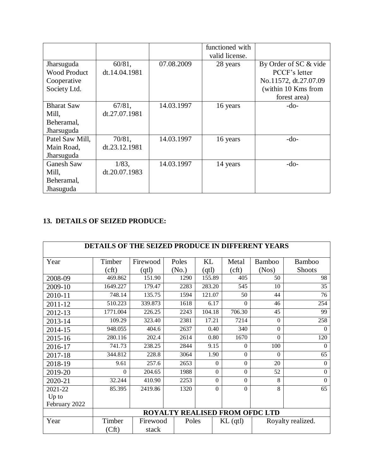|                     |               |            | functioned with |                       |
|---------------------|---------------|------------|-----------------|-----------------------|
|                     |               |            |                 |                       |
|                     |               |            | valid license.  |                       |
| Jharsuguda          | $60/81$ ,     | 07.08.2009 | 28 years        | By Order of SC & vide |
| <b>Wood Product</b> | dt.14.04.1981 |            |                 | PCCF's letter         |
| Cooperative         |               |            |                 | No.11572, dt.27.07.09 |
| Society Ltd.        |               |            |                 | (within 10 Kms from   |
|                     |               |            |                 | forest area)          |
| <b>Bharat Saw</b>   | 67/81,        | 14.03.1997 | 16 years        | $-do-$                |
| Mill,               | dt.27.07.1981 |            |                 |                       |
| Beheramal,          |               |            |                 |                       |
| Jharsuguda          |               |            |                 |                       |
| Patel Saw Mill.     | 70/81,        | 14.03.1997 | 16 years        | $-do-$                |
| Main Road,          | dt.23.12.1981 |            |                 |                       |
| Jharsuguda          |               |            |                 |                       |
| <b>Ganesh Saw</b>   | $1/83$ ,      | 14.03.1997 | 14 years        | $-do-$                |
| Mill,               | dt.20.07.1983 |            |                 |                       |
| Beheramal,          |               |            |                 |                       |
| Jhasuguda           |               |            |                 |                       |

## **13. DETAILS OF SEIZED PRODUCE:**

|               | DETAILS OF THE SEIZED PRODUCE IN DIFFERENT YEARS |          |       |          |                                       |               |                   |  |  |  |  |
|---------------|--------------------------------------------------|----------|-------|----------|---------------------------------------|---------------|-------------------|--|--|--|--|
| Year          | Timber                                           | Firewood | Poles | KL       | Metal                                 | <b>Bamboo</b> | <b>Bamboo</b>     |  |  |  |  |
|               | (cf)                                             | (qtl)    | (No.) | (qtl)    | (cf)                                  | (Nos)         | <b>Shoots</b>     |  |  |  |  |
| 2008-09       | 469.862                                          | 151.90   | 1290  | 155.89   | 405                                   | 50            | 98                |  |  |  |  |
| 2009-10       | 1649.227                                         | 179.47   | 2283  | 283.20   | 545                                   | 10            | 35                |  |  |  |  |
| 2010-11       | 748.14                                           | 135.75   | 1594  | 121.07   | 50                                    | 44            | 76                |  |  |  |  |
| 2011-12       | 510.223                                          | 339.873  | 1618  | 6.17     | $\Omega$                              | 46            | 254               |  |  |  |  |
| 2012-13       | 1771.004                                         | 226.25   | 2243  | 104.18   | 706.30                                | 45            | 99                |  |  |  |  |
| 2013-14       | 109.29                                           | 323.40   | 2381  | 17.21    | 7214                                  | $\Omega$      | 258               |  |  |  |  |
| 2014-15       | 948.055                                          | 404.6    | 2637  | 0.40     | 340                                   | $\Omega$      | $\Omega$          |  |  |  |  |
| 2015-16       | 280.116                                          | 202.4    | 2614  | 0.80     | 1670                                  | $\Omega$      | 120               |  |  |  |  |
| 2016-17       | 741.73                                           | 238.25   | 2844  | 9.15     | $\Omega$                              | 100           | $\Omega$          |  |  |  |  |
| 2017-18       | 344.812                                          | 228.8    | 3064  | 1.90     | $\overline{0}$                        | $\Omega$      | 65                |  |  |  |  |
| 2018-19       | 9.61                                             | 257.6    | 2653  | $\Omega$ | $\Omega$                              | 20            | $\Omega$          |  |  |  |  |
| 2019-20       | $\Omega$                                         | 204.65   | 1988  | $\Omega$ | $\Omega$                              | 52            | $\Omega$          |  |  |  |  |
| 2020-21       | 32.244                                           | 410.90   | 2253  | $\Omega$ | $\Omega$                              | 8             | $\mathbf{0}$      |  |  |  |  |
| 2021-22       | 85.395                                           | 2419.86  | 1320  | $\Omega$ | $\Omega$                              | 8             | 65                |  |  |  |  |
| Up to         |                                                  |          |       |          |                                       |               |                   |  |  |  |  |
| February 2022 |                                                  |          |       |          |                                       |               |                   |  |  |  |  |
|               |                                                  |          |       |          | <b>ROYALTY REALISED FROM OFDC LTD</b> |               |                   |  |  |  |  |
| Year          | Timber                                           | Firewood | Poles |          | $KL$ (qtl)                            |               | Royalty realized. |  |  |  |  |
|               | (Cft)                                            | stack    |       |          |                                       |               |                   |  |  |  |  |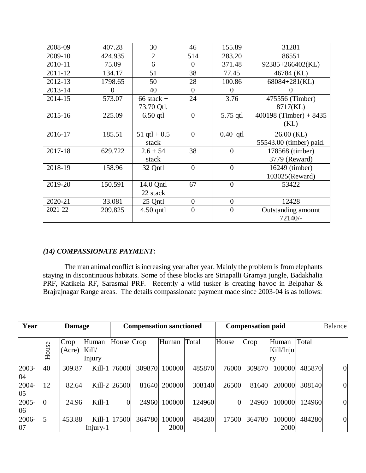| 2008-09 | 407.28  | 30             | 46             | 155.89           | 31281                    |
|---------|---------|----------------|----------------|------------------|--------------------------|
| 2009-10 | 424.935 | $\overline{2}$ | 514            | 283.20           | 86551                    |
| 2010-11 | 75.09   | 6              | $\Omega$       | 371.48           | 92385+266402(KL)         |
| 2011-12 | 134.17  | 51             | 38             | 77.45            | 46784 (KL)               |
| 2012-13 | 1798.65 | 50             | 28             | 100.86           | 68084+281(KL)            |
| 2013-14 | 0       | 40             | $\theta$       | 0                |                          |
| 2014-15 | 573.07  | $66$ stack +   | 24             | 3.76             | 475556 (Timber)          |
|         |         | 73.70 Qtl.     |                |                  | 8717(KL)                 |
| 2015-16 | 225.09  | $6.50$ qtl     | $\overline{0}$ | 5.75 gtl         | 400198 (Timber) + $8435$ |
|         |         |                |                |                  | (KL)                     |
| 2016-17 | 185.51  | 51 qtl + $0.5$ | $\overline{0}$ | $0.40$ qtl       | $26.00$ (KL)             |
|         |         | stack          |                |                  | 55543.00 (timber) paid.  |
| 2017-18 | 629.722 | $2.6 + 54$     | 38             | $\theta$         | 178568 (timber)          |
|         |         | stack          |                |                  | 3779 (Reward)            |
| 2018-19 | 158.96  | 32 Qntl        | $\overline{0}$ | $\theta$         | 16249 (timber)           |
|         |         |                |                |                  | 103025(Reward)           |
| 2019-20 | 150.591 | 14.0 Qntl      | 67             | $\overline{0}$   | 53422                    |
|         |         | 22 stack       |                |                  |                          |
| 2020-21 | 33.081  | 25 Qntl        | $\overline{0}$ | $\overline{0}$   | 12428                    |
| 2021-22 | 209.825 | $4.50$ qntl    | $\overline{0}$ | $\boldsymbol{0}$ | Outstanding amount       |
|         |         |                |                |                  | 72140/-                  |

### *(14) COMPASSIONATE PAYMENT:*

The man animal conflict is increasing year after year. Mainly the problem is from elephants staying in discontinuous habitats. Some of these blocks are Siriapalli Gramya jungle, Badakhalia PRF, Katikela RF, Sarasmal PRF. Recently a wild tusker is creating havoc in Belpahar & Brajrajnagar Range areas. The details compassionate payment made since 2003-04 is as follows:

| Year        |                | <b>Damage</b>  |                          |              | <b>Compensation sanctioned</b> |                |        | <b>Compensation paid</b> |        |                          |        | <b>Balance</b> |
|-------------|----------------|----------------|--------------------------|--------------|--------------------------------|----------------|--------|--------------------------|--------|--------------------------|--------|----------------|
|             | House          | Crop<br>(Acre) | Human<br>Kill/<br>Injury | House Crop   |                                | Human          | Total  | House                    | Crop   | Human<br>Kill/Inju<br>ry | Total  |                |
| 2003-<br>04 | 40             | 309.87         | $Kill-1$                 | 76000        | 309870                         | 100000         | 485870 | 76000                    | 309870 | 100000                   | 485870 | $\mathbf{0}$   |
| 2004-<br>05 | 12             | 82.64          |                          | Kill-2 26500 | 81640                          | 200000         | 308140 | 26500                    | 81640  | 200000                   | 308140 | $\overline{0}$ |
| 2005-<br>06 | $\overline{0}$ | 24.96          | $Kill-1$                 | 0            | 24960                          | 100000         | 124960 | $\overline{0}$           | 24960  | 100000                   | 124960 | $\mathbf{0}$   |
| 2006-<br>07 | 5              | 453.88         | $Kill-1$<br>$Injury-1$   | 17500        | 364780                         | 100000<br>2000 | 484280 | 17500                    | 364780 | 100000<br>2000           | 484280 | $\mathbf{0}$   |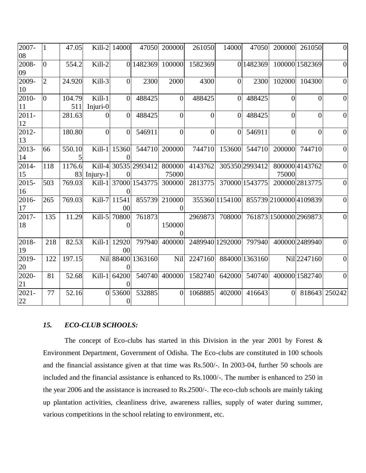| 2007-    | $\mathbf{1}$   | 47.05  |                | Kill-2 14000       | 47050         | 200000         | 261050         | 14000           | 47050          | 200000         | 261050                 | $\boldsymbol{0}$ |
|----------|----------------|--------|----------------|--------------------|---------------|----------------|----------------|-----------------|----------------|----------------|------------------------|------------------|
| 08       |                |        |                |                    |               |                |                |                 |                |                |                        |                  |
| 2008-    | $\overline{0}$ | 554.2  | Kill-2         |                    | 0 1482369     | 100000         | 1582369        |                 | 0 1482369      |                | 100000 1582369         | $\overline{0}$   |
| 09       |                |        |                |                    |               |                |                |                 |                |                |                        |                  |
| 2009-    | $\overline{2}$ | 24.920 | Kill-3         | $\Omega$           | 2300          | 2000           | 4300           | $\Omega$        | 2300           | 102000         | 104300                 | $\overline{0}$   |
| 10       |                |        |                |                    |               |                |                |                 |                |                |                        |                  |
| 2010-    | $\overline{0}$ | 104.79 | Kill-1         | $\overline{0}$     | 488425        | $\overline{0}$ | 488425         | $\overline{0}$  | 488425         | $\overline{0}$ | $\overline{0}$         | $\overline{0}$   |
| 11       |                | 511    | Injuri-0       |                    |               |                |                |                 |                |                |                        |                  |
| $2011 -$ |                | 281.63 | $\theta$       | $\overline{0}$     | 488425        | $\overline{0}$ | $\overline{0}$ | $\overline{0}$  | 488425         | $\theta$       | $\overline{0}$         | $\boldsymbol{0}$ |
| 12       |                |        |                |                    |               |                |                |                 |                |                |                        |                  |
| 2012-    |                | 180.80 | $\overline{0}$ | $\Omega$           | 546911        | $\overline{0}$ | $\overline{0}$ | $\overline{0}$  | 546911         | $\theta$       | $\theta$               | $\boldsymbol{0}$ |
| 13       |                |        |                |                    |               |                |                |                 |                |                |                        |                  |
| 2013-    | 66             | 550.10 | Kill- $1$      | 15360              | 544710        | 200000         | 744710         | 153600          | 544710         | 200000         | 744710                 | $\overline{0}$   |
| 14       |                |        |                |                    |               |                |                |                 |                |                |                        |                  |
| $2014 -$ | 118            | 1176.6 | Kill-4         |                    | 30535 2993412 | 800000         | 4143762        |                 | 305350 2993412 |                | 800000 4143762         | $\boldsymbol{0}$ |
| 15       |                | 83     | Injury-1       | $\Omega$           |               | 75000          |                |                 |                | 75000          |                        |                  |
| 2015-    | 503            | 769.03 | $Kill-1$       |                    | 37000 1543775 | 300000         | 2813775        |                 | 370000 1543775 |                | 200000 2813775         | $\overline{0}$   |
| 16       |                |        |                | 0                  |               |                |                |                 |                |                |                        |                  |
| 2016-    | 265            | 769.03 | Kill-7         | $11\overline{541}$ | 855739        | 210000         |                | 355360 1154100  |                |                | 855739 2100000 4109839 | $\overline{0}$   |
| 17       |                |        |                | 00                 |               | $\Omega$       |                |                 |                |                |                        |                  |
| 2017-    | 135            | 11.29  | Kill-5         | 70800              | 761873        |                | 2969873        | 708000          |                |                | 761873 1500000 2969873 | $\overline{0}$   |
| 18       |                |        |                | 0                  |               | 150000         |                |                 |                |                |                        |                  |
|          |                |        |                |                    |               |                |                |                 |                |                |                        |                  |
| 2018-    | 218            | 82.53  | Kill- $1$      | 12920              | 797940        | 400000         |                | 2489940 1292000 | 797940         |                | 400000 2489940         | $\overline{0}$   |
| 19       |                |        |                | 00                 |               |                |                |                 |                |                |                        |                  |
| 2019-    | 122            | 197.15 | Nil            |                    | 88400 1363160 | Nil            | 2247160        |                 | 884000 1363160 |                | Nil 2247160            | $\boldsymbol{0}$ |
| 20       |                |        |                |                    |               |                |                |                 |                |                |                        |                  |
| 2020-    | 81             | 52.68  | Kill- $1$      | 64200              | 540740        | 400000         | 1582740        | 642000          | 540740         |                | 400000 1582740         | $\overline{0}$   |
| 21       |                |        |                |                    |               |                |                |                 |                |                |                        |                  |
| $2021 -$ | 77             | 52.16  | $\theta$       | 53600              | 532885        | $\mathbf{0}$   | 1068885        | 402000          | 416643         | $\mathbf{0}$   | 818643                 | 250242           |
| 22       |                |        |                | $\boldsymbol{0}$   |               |                |                |                 |                |                |                        |                  |

### *15. ECO-CLUB SCHOOLS:*

The concept of Eco-clubs has started in this Division in the year 2001 by Forest  $\&$ Environment Department, Government of Odisha. The Eco-clubs are constituted in 100 schools and the financial assistance given at that time was Rs.500/-. In 2003-04, further 50 schools are included and the financial assistance is enhanced to Rs.1000/-. The number is enhanced to 250 in the year 2006 and the assistance is increased to Rs.2500/-. The eco-club schools are mainly taking up plantation activities, cleanliness drive, awareness rallies, supply of water during summer, various competitions in the school relating to environment, etc.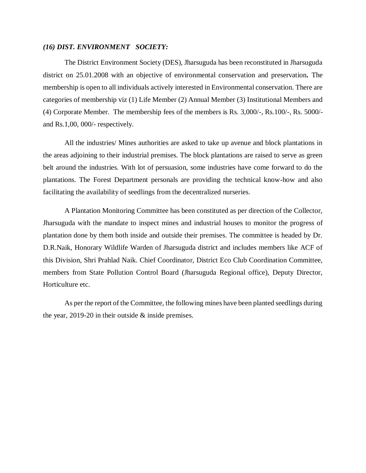#### *(16) DIST. ENVIRONMENT SOCIETY:*

The District Environment Society (DES), Jharsuguda has been reconstituted in Jharsuguda district on 25.01.2008 with an objective of environmental conservation and preservation*.* The membership is open to all individuals actively interested in Environmental conservation. There are categories of membership viz (1) Life Member (2) Annual Member (3) Institutional Members and (4) Corporate Member. The membership fees of the members is Rs. 3,000/-, Rs.100/-, Rs. 5000/ and Rs.1,00, 000/- respectively.

All the industries/ Mines authorities are asked to take up avenue and block plantations in the areas adjoining to their industrial premises. The block plantations are raised to serve as green belt around the industries. With lot of persuasion, some industries have come forward to do the plantations. The Forest Department personals are providing the technical know-how and also facilitating the availability of seedlings from the decentralized nurseries.

A Plantation Monitoring Committee has been constituted as per direction of the Collector, Jharsuguda with the mandate to inspect mines and industrial houses to monitor the progress of plantation done by them both inside and outside their premises. The committee is headed by Dr. D.R.Naik, Honorary Wildlife Warden of Jharsuguda district and includes members like ACF of this Division, Shri Prahlad Naik. Chief Coordinator, District Eco Club Coordination Committee, members from State Pollution Control Board (Jharsuguda Regional office), Deputy Director, Horticulture etc.

As per the report of the Committee, the following mines have been planted seedlings during the year, 2019-20 in their outside  $&$  inside premises.